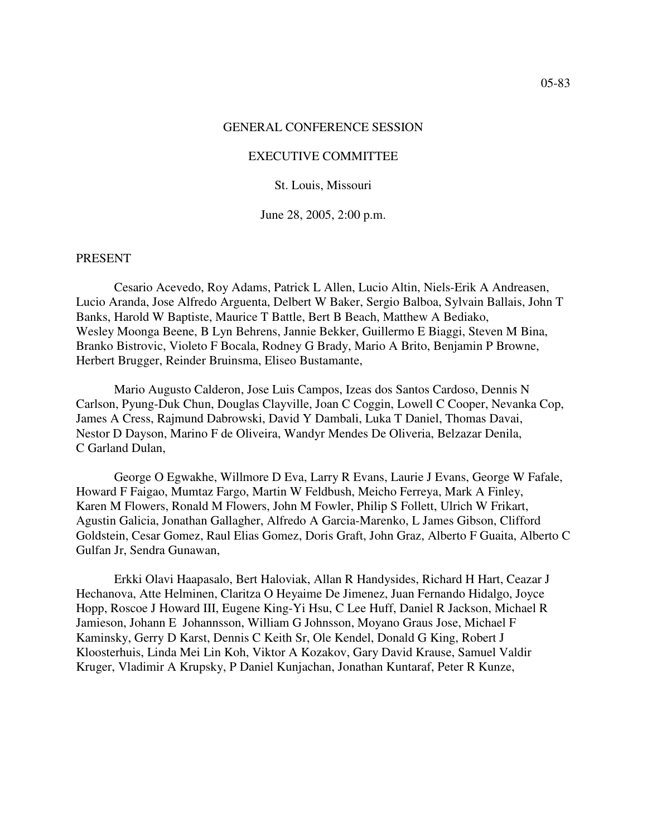#### GENERAL CONFERENCE SESSION

#### EXECUTIVE COMMITTEE

St. Louis, Missouri

June 28, 2005, 2:00 p.m.

#### PRESENT

Cesario Acevedo, Roy Adams, Patrick L Allen, Lucio Altin, Niels-Erik A Andreasen, Lucio Aranda, Jose Alfredo Arguenta, Delbert W Baker, Sergio Balboa, Sylvain Ballais, John T Banks, Harold W Baptiste, Maurice T Battle, Bert B Beach, Matthew A Bediako, Wesley Moonga Beene, B Lyn Behrens, Jannie Bekker, Guillermo E Biaggi, Steven M Bina, Branko Bistrovic, Violeto F Bocala, Rodney G Brady, Mario A Brito, Benjamin P Browne, Herbert Brugger, Reinder Bruinsma, Eliseo Bustamante,

Mario Augusto Calderon, Jose Luis Campos, Izeas dos Santos Cardoso, Dennis N Carlson, Pyung-Duk Chun, Douglas Clayville, Joan C Coggin, Lowell C Cooper, Nevanka Cop, James A Cress, Rajmund Dabrowski, David Y Dambali, Luka T Daniel, Thomas Davai, Nestor D Dayson, Marino F de Oliveira, Wandyr Mendes De Oliveria, Belzazar Denila, C Garland Dulan,

George O Egwakhe, Willmore D Eva, Larry R Evans, Laurie J Evans, George W Fafale, Howard F Faigao, Mumtaz Fargo, Martin W Feldbush, Meicho Ferreya, Mark A Finley, Karen M Flowers, Ronald M Flowers, John M Fowler, Philip S Follett, Ulrich W Frikart, Agustin Galicia, Jonathan Gallagher, Alfredo A Garcia-Marenko, L James Gibson, Clifford Goldstein, Cesar Gomez, Raul Elias Gomez, Doris Graft, John Graz, Alberto F Guaita, Alberto C Gulfan Jr, Sendra Gunawan,

Erkki Olavi Haapasalo, Bert Haloviak, Allan R Handysides, Richard H Hart, Ceazar J Hechanova, Atte Helminen, Claritza O Heyaime De Jimenez, Juan Fernando Hidalgo, Joyce Hopp, Roscoe J Howard III, Eugene King-Yi Hsu, C Lee Huff, Daniel R Jackson, Michael R Jamieson, Johann E Johannsson, William G Johnsson, Moyano Graus Jose, Michael F Kaminsky, Gerry D Karst, Dennis C Keith Sr, Ole Kendel, Donald G King, Robert J Kloosterhuis, Linda Mei Lin Koh, Viktor A Kozakov, Gary David Krause, Samuel Valdir Kruger, Vladimir A Krupsky, P Daniel Kunjachan, Jonathan Kuntaraf, Peter R Kunze,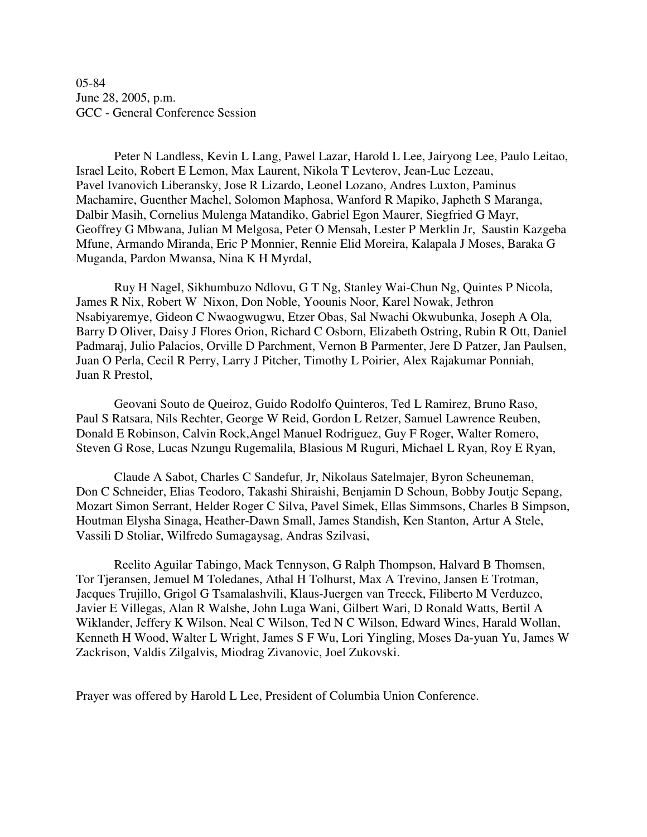05-84 June 28, 2005, p.m. GCC - General Conference Session

Peter N Landless, Kevin L Lang, Pawel Lazar, Harold L Lee, Jairyong Lee, Paulo Leitao, Israel Leito, Robert E Lemon, Max Laurent, Nikola T Levterov, Jean-Luc Lezeau, Pavel Ivanovich Liberansky, Jose R Lizardo, Leonel Lozano, Andres Luxton, Paminus Machamire, Guenther Machel, Solomon Maphosa, Wanford R Mapiko, Japheth S Maranga, Dalbir Masih, Cornelius Mulenga Matandiko, Gabriel Egon Maurer, Siegfried G Mayr, Geoffrey G Mbwana, Julian M Melgosa, Peter O Mensah, Lester P Merklin Jr, Saustin Kazgeba Mfune, Armando Miranda, Eric P Monnier, Rennie Elid Moreira, Kalapala J Moses, Baraka G Muganda, Pardon Mwansa, Nina K H Myrdal,

Ruy H Nagel, Sikhumbuzo Ndlovu, G T Ng, Stanley Wai-Chun Ng, Quintes P Nicola, James R Nix, Robert W Nixon, Don Noble, Yoounis Noor, Karel Nowak, Jethron Nsabiyaremye, Gideon C Nwaogwugwu, Etzer Obas, Sal Nwachi Okwubunka, Joseph A Ola, Barry D Oliver, Daisy J Flores Orion, Richard C Osborn, Elizabeth Ostring, Rubin R Ott, Daniel Padmaraj, Julio Palacios, Orville D Parchment, Vernon B Parmenter, Jere D Patzer, Jan Paulsen, Juan O Perla, Cecil R Perry, Larry J Pitcher, Timothy L Poirier, Alex Rajakumar Ponniah, Juan R Prestol,

Geovani Souto de Queiroz, Guido Rodolfo Quinteros, Ted L Ramirez, Bruno Raso, Paul S Ratsara, Nils Rechter, George W Reid, Gordon L Retzer, Samuel Lawrence Reuben, Donald E Robinson, Calvin Rock,Angel Manuel Rodriguez, Guy F Roger, Walter Romero, Steven G Rose, Lucas Nzungu Rugemalila, Blasious M Ruguri, Michael L Ryan, Roy E Ryan,

Claude A Sabot, Charles C Sandefur, Jr, Nikolaus Satelmajer, Byron Scheuneman, Don C Schneider, Elias Teodoro, Takashi Shiraishi, Benjamin D Schoun, Bobby Joutjc Sepang, Mozart Simon Serrant, Helder Roger C Silva, Pavel Simek, Ellas Simmsons, Charles B Simpson, Houtman Elysha Sinaga, Heather-Dawn Small, James Standish, Ken Stanton, Artur A Stele, Vassili D Stoliar, Wilfredo Sumagaysag, Andras Szilvasi,

Reelito Aguilar Tabingo, Mack Tennyson, G Ralph Thompson, Halvard B Thomsen, Tor Tjeransen, Jemuel M Toledanes, Athal H Tolhurst, Max A Trevino, Jansen E Trotman, Jacques Trujillo, Grigol G Tsamalashvili, Klaus-Juergen van Treeck, Filiberto M Verduzco, Javier E Villegas, Alan R Walshe, John Luga Wani, Gilbert Wari, D Ronald Watts, Bertil A Wiklander, Jeffery K Wilson, Neal C Wilson, Ted N C Wilson, Edward Wines, Harald Wollan, Kenneth H Wood, Walter L Wright, James S F Wu, Lori Yingling, Moses Da-yuan Yu, James W Zackrison, Valdis Zilgalvis, Miodrag Zivanovic, Joel Zukovski.

Prayer was offered by Harold L Lee, President of Columbia Union Conference.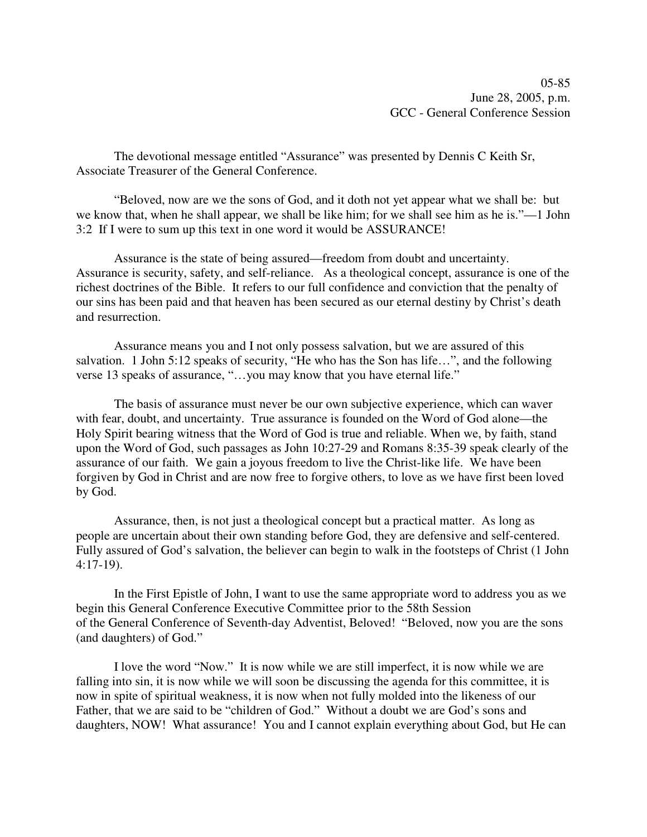05-85 June 28, 2005, p.m. GCC - General Conference Session

The devotional message entitled "Assurance" was presented by Dennis C Keith Sr, Associate Treasurer of the General Conference.

"Beloved, now are we the sons of God, and it doth not yet appear what we shall be: but we know that, when he shall appear, we shall be like him; for we shall see him as he is."—1 John 3:2 If I were to sum up this text in one word it would be ASSURANCE!

Assurance is the state of being assured—freedom from doubt and uncertainty. Assurance is security, safety, and self-reliance. As a theological concept, assurance is one of the richest doctrines of the Bible. It refers to our full confidence and conviction that the penalty of our sins has been paid and that heaven has been secured as our eternal destiny by Christ's death and resurrection.

Assurance means you and I not only possess salvation, but we are assured of this salvation. 1 John 5:12 speaks of security, "He who has the Son has life…", and the following verse 13 speaks of assurance, "…you may know that you have eternal life."

The basis of assurance must never be our own subjective experience, which can waver with fear, doubt, and uncertainty. True assurance is founded on the Word of God alone—the Holy Spirit bearing witness that the Word of God is true and reliable. When we, by faith, stand upon the Word of God, such passages as John 10:27-29 and Romans 8:35-39 speak clearly of the assurance of our faith. We gain a joyous freedom to live the Christ-like life. We have been forgiven by God in Christ and are now free to forgive others, to love as we have first been loved by God.

Assurance, then, is not just a theological concept but a practical matter. As long as people are uncertain about their own standing before God, they are defensive and self-centered. Fully assured of God's salvation, the believer can begin to walk in the footsteps of Christ (1 John 4:17-19).

In the First Epistle of John, I want to use the same appropriate word to address you as we begin this General Conference Executive Committee prior to the 58th Session of the General Conference of Seventh-day Adventist, Beloved! "Beloved, now you are the sons (and daughters) of God."

I love the word "Now." It is now while we are still imperfect, it is now while we are falling into sin, it is now while we will soon be discussing the agenda for this committee, it is now in spite of spiritual weakness, it is now when not fully molded into the likeness of our Father, that we are said to be "children of God." Without a doubt we are God's sons and daughters, NOW! What assurance! You and I cannot explain everything about God, but He can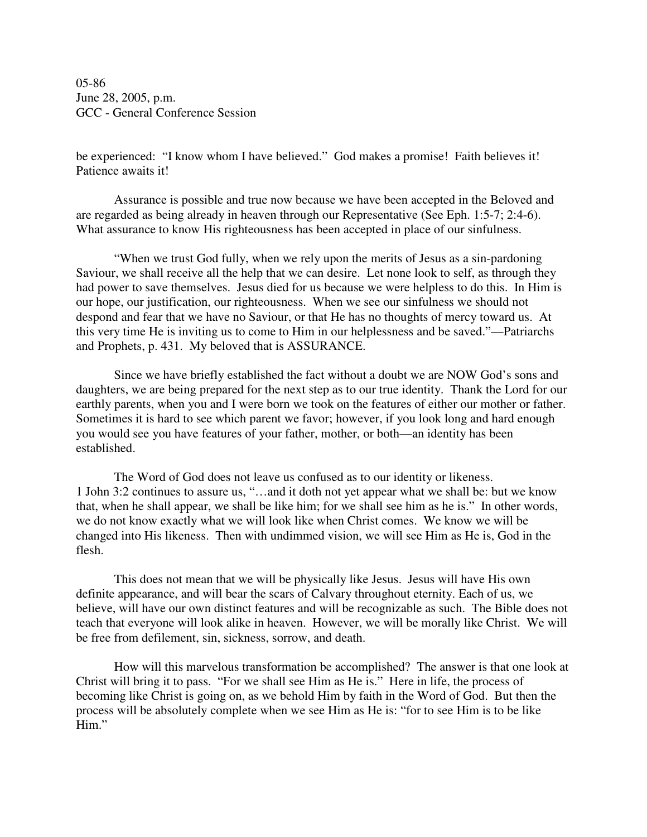05-86 June 28, 2005, p.m. GCC - General Conference Session

be experienced: "I know whom I have believed." God makes a promise! Faith believes it! Patience awaits it!

Assurance is possible and true now because we have been accepted in the Beloved and are regarded as being already in heaven through our Representative (See Eph. 1:5-7; 2:4-6). What assurance to know His righteousness has been accepted in place of our sinfulness.

"When we trust God fully, when we rely upon the merits of Jesus as a sin-pardoning Saviour, we shall receive all the help that we can desire. Let none look to self, as through they had power to save themselves. Jesus died for us because we were helpless to do this. In Him is our hope, our justification, our righteousness. When we see our sinfulness we should not despond and fear that we have no Saviour, or that He has no thoughts of mercy toward us. At this very time He is inviting us to come to Him in our helplessness and be saved."—Patriarchs and Prophets, p. 431. My beloved that is ASSURANCE.

Since we have briefly established the fact without a doubt we are NOW God's sons and daughters, we are being prepared for the next step as to our true identity. Thank the Lord for our earthly parents, when you and I were born we took on the features of either our mother or father. Sometimes it is hard to see which parent we favor; however, if you look long and hard enough you would see you have features of your father, mother, or both—an identity has been established.

The Word of God does not leave us confused as to our identity or likeness. 1 John 3:2 continues to assure us, "…and it doth not yet appear what we shall be: but we know that, when he shall appear, we shall be like him; for we shall see him as he is." In other words, we do not know exactly what we will look like when Christ comes. We know we will be changed into His likeness. Then with undimmed vision, we will see Him as He is, God in the flesh.

This does not mean that we will be physically like Jesus. Jesus will have His own definite appearance, and will bear the scars of Calvary throughout eternity. Each of us, we believe, will have our own distinct features and will be recognizable as such. The Bible does not teach that everyone will look alike in heaven. However, we will be morally like Christ. We will be free from defilement, sin, sickness, sorrow, and death.

How will this marvelous transformation be accomplished? The answer is that one look at Christ will bring it to pass. "For we shall see Him as He is." Here in life, the process of becoming like Christ is going on, as we behold Him by faith in the Word of God. But then the process will be absolutely complete when we see Him as He is: "for to see Him is to be like Him."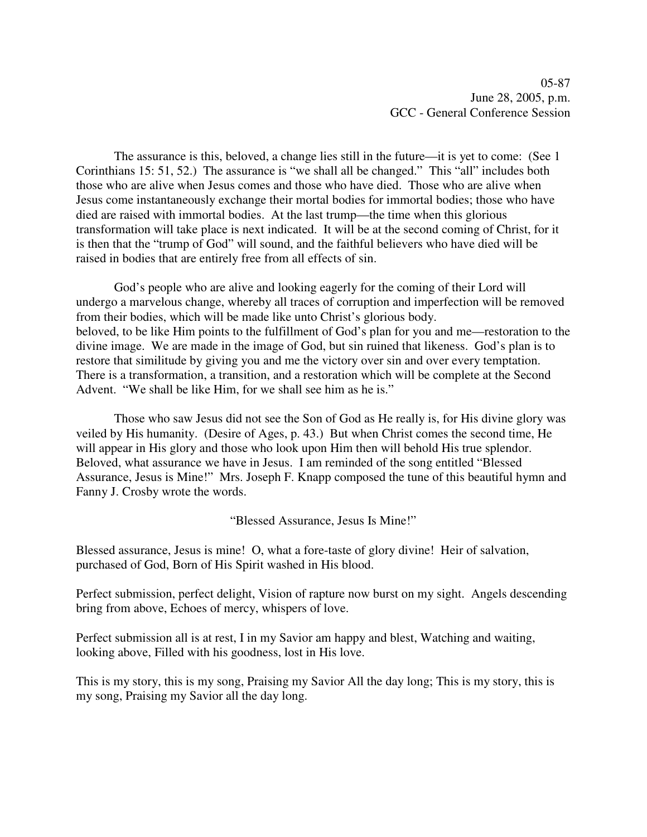The assurance is this, beloved, a change lies still in the future—it is yet to come: (See 1 Corinthians 15: 51, 52.) The assurance is "we shall all be changed." This "all" includes both those who are alive when Jesus comes and those who have died. Those who are alive when Jesus come instantaneously exchange their mortal bodies for immortal bodies; those who have died are raised with immortal bodies. At the last trump—the time when this glorious transformation will take place is next indicated. It will be at the second coming of Christ, for it is then that the "trump of God" will sound, and the faithful believers who have died will be raised in bodies that are entirely free from all effects of sin.

God's people who are alive and looking eagerly for the coming of their Lord will undergo a marvelous change, whereby all traces of corruption and imperfection will be removed from their bodies, which will be made like unto Christ's glorious body. beloved, to be like Him points to the fulfillment of God's plan for you and me—restoration to the divine image. We are made in the image of God, but sin ruined that likeness. God's plan is to restore that similitude by giving you and me the victory over sin and over every temptation. There is a transformation, a transition, and a restoration which will be complete at the Second Advent. "We shall be like Him, for we shall see him as he is."

Those who saw Jesus did not see the Son of God as He really is, for His divine glory was veiled by His humanity. (Desire of Ages, p. 43.) But when Christ comes the second time, He will appear in His glory and those who look upon Him then will behold His true splendor. Beloved, what assurance we have in Jesus. I am reminded of the song entitled "Blessed Assurance, Jesus is Mine!" Mrs. Joseph F. Knapp composed the tune of this beautiful hymn and Fanny J. Crosby wrote the words.

"Blessed Assurance, Jesus Is Mine!"

Blessed assurance, Jesus is mine! O, what a fore-taste of glory divine! Heir of salvation, purchased of God, Born of His Spirit washed in His blood.

Perfect submission, perfect delight, Vision of rapture now burst on my sight. Angels descending bring from above, Echoes of mercy, whispers of love.

Perfect submission all is at rest, I in my Savior am happy and blest, Watching and waiting, looking above, Filled with his goodness, lost in His love.

This is my story, this is my song, Praising my Savior All the day long; This is my story, this is my song, Praising my Savior all the day long.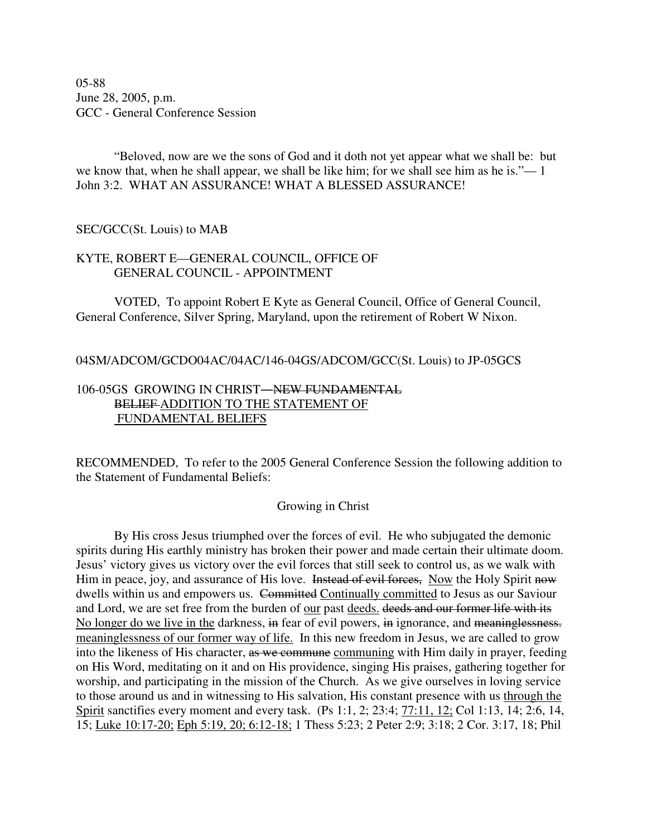05-88 June 28, 2005, p.m. GCC - General Conference Session

"Beloved, now are we the sons of God and it doth not yet appear what we shall be: but we know that, when he shall appear, we shall be like him; for we shall see him as he is."— 1 John 3:2. WHAT AN ASSURANCE! WHAT A BLESSED ASSURANCE!

#### SEC/GCC(St. Louis) to MAB

### KYTE, ROBERT E—GENERAL COUNCIL, OFFICE OF GENERAL COUNCIL - APPOINTMENT

VOTED, To appoint Robert E Kyte as General Council, Office of General Council, General Conference, Silver Spring, Maryland, upon the retirement of Robert W Nixon.

### 04SM/ADCOM/GCDO04AC/04AC/146-04GS/ADCOM/GCC(St. Louis) to JP-05GCS

## 106-05GS GROWING IN CHRIST-NEW FUNDAMENTAL BELIEF ADDITION TO THE STATEMENT OF FUNDAMENTAL BELIEFS

RECOMMENDED, To refer to the 2005 General Conference Session the following addition to the Statement of Fundamental Beliefs:

#### Growing in Christ

By His cross Jesus triumphed over the forces of evil. He who subjugated the demonic spirits during His earthly ministry has broken their power and made certain their ultimate doom. Jesus' victory gives us victory over the evil forces that still seek to control us, as we walk with Him in peace, joy, and assurance of His love. Instead of evil forces, Now the Holy Spirit now dwells within us and empowers us. Committed Continually committed to Jesus as our Saviour and Lord, we are set free from the burden of our past deeds. deeds and our former life with its No longer do we live in the darkness, in fear of evil powers, in ignorance, and meaninglessness. meaninglessness of our former way of life. In this new freedom in Jesus, we are called to grow into the likeness of His character, as we communing communing with Him daily in prayer, feeding on His Word, meditating on it and on His providence, singing His praises, gathering together for worship, and participating in the mission of the Church. As we give ourselves in loving service to those around us and in witnessing to His salvation, His constant presence with us through the Spirit sanctifies every moment and every task. (Ps 1:1, 2; 23:4; 77:11, 12; Col 1:13, 14; 2:6, 14, 15; Luke 10:17-20; Eph 5:19, 20; 6:12-18; 1 Thess 5:23; 2 Peter 2:9; 3:18; 2 Cor. 3:17, 18; Phil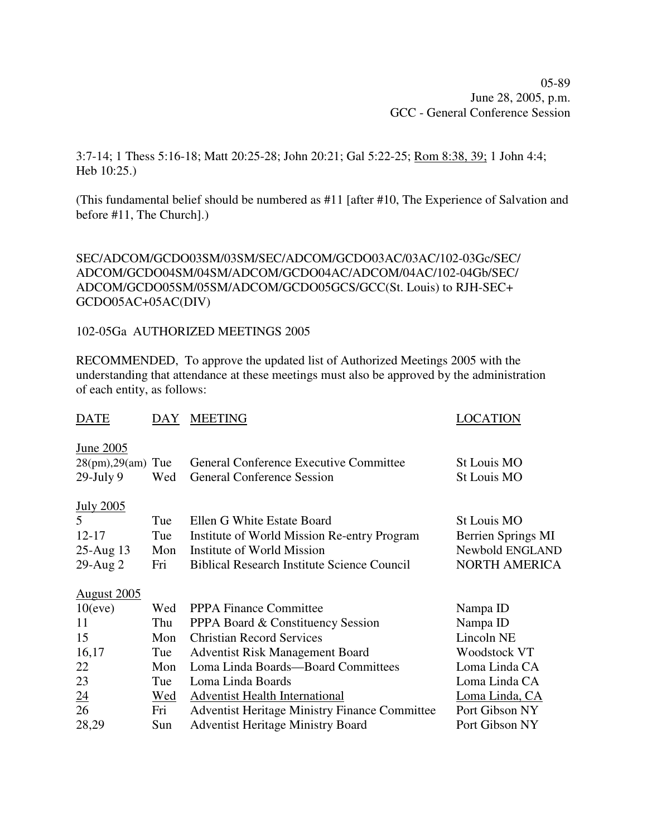05-89 June 28, 2005, p.m. GCC - General Conference Session

3:7-14; 1 Thess 5:16-18; Matt 20:25-28; John 20:21; Gal 5:22-25; Rom 8:38, 39; 1 John 4:4; Heb 10:25.)

(This fundamental belief should be numbered as #11 [after #10, The Experience of Salvation and before #11, The Church].)

## SEC/ADCOM/GCDO03SM/03SM/SEC/ADCOM/GCDO03AC/03AC/102-03Gc/SEC/ ADCOM/GCDO04SM/04SM/ADCOM/GCDO04AC/ADCOM/04AC/102-04Gb/SEC/ ADCOM/GCDO05SM/05SM/ADCOM/GCDO05GCS/GCC(St. Louis) to RJH-SEC+ GCDO05AC+05AC(DIV)

102-05Ga AUTHORIZED MEETINGS 2005

RECOMMENDED, To approve the updated list of Authorized Meetings 2005 with the understanding that attendance at these meetings must also be approved by the administration of each entity, as follows:

| <b>DATE</b>         | DAY        | <b>MEETING</b>                                       | LOCATION             |
|---------------------|------------|------------------------------------------------------|----------------------|
| June 2005           |            |                                                      |                      |
| $28(pm)$ , $29(am)$ | Tue        | <b>General Conference Executive Committee</b>        | St Louis MO          |
| $29$ -July 9        | Wed        | <b>General Conference Session</b>                    | St Louis MO          |
| <b>July 2005</b>    |            |                                                      |                      |
| $\mathfrak{H}$      | Tue        | Ellen G White Estate Board                           | St Louis MO          |
| $12 - 17$           | Tue        | Institute of World Mission Re-entry Program          | Berrien Springs MI   |
| $25$ -Aug 13        | Mon        | Institute of World Mission                           | Newbold ENGLAND      |
| $29$ -Aug $2$       | Fri        | <b>Biblical Research Institute Science Council</b>   | <b>NORTH AMERICA</b> |
| <b>August 2005</b>  |            |                                                      |                      |
| $10$ (eve)          | Wed        | <b>PPPA Finance Committee</b>                        | Nampa ID             |
| 11                  | Thu        | PPPA Board & Constituency Session                    | Nampa ID             |
| 15                  | Mon        | <b>Christian Record Services</b>                     | Lincoln NE           |
| 16,17               | Tue        | <b>Adventist Risk Management Board</b>               | <b>Woodstock VT</b>  |
| 22                  | Mon        | Loma Linda Boards-Board Committees                   | Loma Linda CA        |
| 23                  | Tue        | Loma Linda Boards                                    | Loma Linda CA        |
| $\underline{24}$    | <u>Wed</u> | <b>Adventist Health International</b>                | Loma Linda, CA       |
| 26                  | Fri        | <b>Adventist Heritage Ministry Finance Committee</b> | Port Gibson NY       |
| 28,29               | Sun        | <b>Adventist Heritage Ministry Board</b>             | Port Gibson NY       |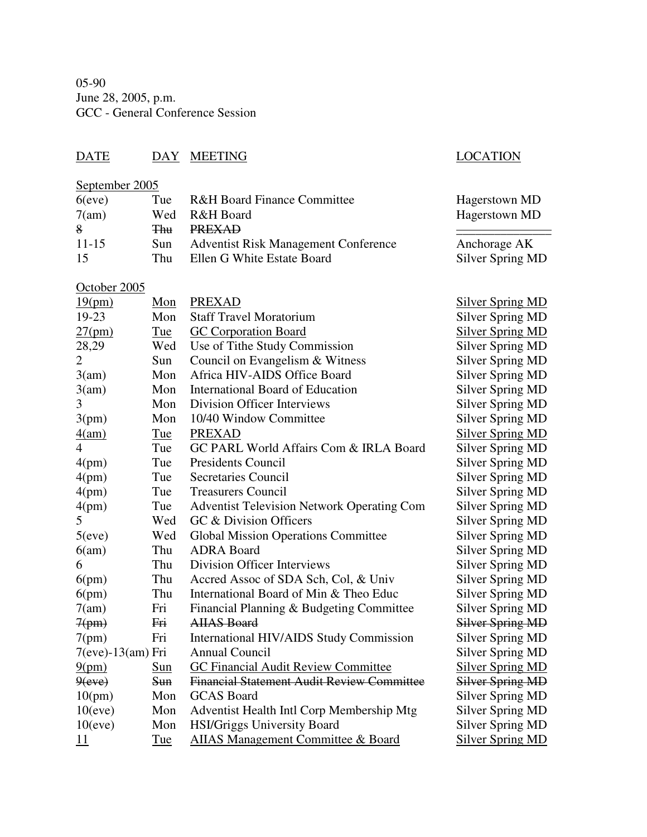05-90 June 28, 2005, p.m. GCC - General Conference Session

# DATE DAY MEETING LOCATION

## September 2005

| $6$ (eve)       | Tue            | <b>R&amp;H Board Finance Committee</b>                                    | Hagerstown MD                    |
|-----------------|----------------|---------------------------------------------------------------------------|----------------------------------|
| 7(am)           | Wed            | R&H Board                                                                 | Hagerstown MD                    |
| 8               | <del>Thu</del> | <b>PREXAD</b>                                                             |                                  |
|                 |                |                                                                           |                                  |
| $11 - 15$<br>15 | Sun<br>Thu     | <b>Adventist Risk Management Conference</b><br>Ellen G White Estate Board | Anchorage AK<br>Silver Spring MD |

## October 2005

| 19(pm)                | $\underline{\text{Mon}}$ | <b>PREXAD</b>                                     | <b>Silver Spring MD</b> |
|-----------------------|--------------------------|---------------------------------------------------|-------------------------|
| 19-23                 | Mon                      | <b>Staff Travel Moratorium</b>                    | <b>Silver Spring MD</b> |
| 27(pm)                | Tue                      | <b>GC</b> Corporation Board                       | <b>Silver Spring MD</b> |
| 28,29                 | Wed                      | Use of Tithe Study Commission                     | <b>Silver Spring MD</b> |
| 2                     | Sun                      | Council on Evangelism & Witness                   | <b>Silver Spring MD</b> |
| 3(am)                 | Mon                      | Africa HIV-AIDS Office Board                      | <b>Silver Spring MD</b> |
| 3(am)                 | Mon                      | International Board of Education                  | <b>Silver Spring MD</b> |
| 3                     | Mon                      | Division Officer Interviews                       | <b>Silver Spring MD</b> |
| 3(pm)                 | Mon                      | 10/40 Window Committee                            | <b>Silver Spring MD</b> |
| 4(am)                 | Tue                      | <b>PREXAD</b>                                     | <b>Silver Spring MD</b> |
| $\overline{4}$        | Tue                      | GC PARL World Affairs Com & IRLA Board            | <b>Silver Spring MD</b> |
| 4(pm)                 | Tue                      | <b>Presidents Council</b>                         | <b>Silver Spring MD</b> |
| 4(pm)                 | Tue                      | <b>Secretaries Council</b>                        | <b>Silver Spring MD</b> |
| 4(pm)                 | Tue                      | <b>Treasurers Council</b>                         | <b>Silver Spring MD</b> |
| 4(pm)                 | Tue                      | <b>Adventist Television Network Operating Com</b> | <b>Silver Spring MD</b> |
| 5                     | Wed                      | GC & Division Officers                            | <b>Silver Spring MD</b> |
| 5(eve)                | Wed                      | <b>Global Mission Operations Committee</b>        | <b>Silver Spring MD</b> |
| 6(am)                 | Thu                      | <b>ADRA</b> Board                                 | <b>Silver Spring MD</b> |
| 6                     | Thu                      | Division Officer Interviews                       | <b>Silver Spring MD</b> |
| 6(pm)                 | Thu                      | Accred Assoc of SDA Sch, Col, & Univ              | <b>Silver Spring MD</b> |
| 6(pm)                 | Thu                      | International Board of Min & Theo Educ            | <b>Silver Spring MD</b> |
| 7(am)                 | Fri                      | Financial Planning & Budgeting Committee          | <b>Silver Spring MD</b> |
| 7(pm)                 | Fri                      | <b>AIIAS Board</b>                                | <b>Silver Spring MD</b> |
| 7(pm)                 | Fri                      | International HIV/AIDS Study Commission           | <b>Silver Spring MD</b> |
| $7(eve) - 13(am)$ Fri |                          | <b>Annual Council</b>                             | <b>Silver Spring MD</b> |
| 9(pm)                 | <b>Sun</b>               | <b>GC Financial Audit Review Committee</b>        | <b>Silver Spring MD</b> |
| 9(eve)                | <b>Sun</b>               | <b>Financial Statement Audit Review Committee</b> | <b>Silver Spring MD</b> |
| 10(pm)                | Mon                      | <b>GCAS</b> Board                                 | <b>Silver Spring MD</b> |
| 10(eve)               | Mon                      | Adventist Health Intl Corp Membership Mtg         | <b>Silver Spring MD</b> |
| 10(eve)               | Mon                      | HSI/Griggs University Board                       | <b>Silver Spring MD</b> |
| 11                    | Tue                      | <b>AIIAS Management Committee &amp; Board</b>     | <b>Silver Spring MD</b> |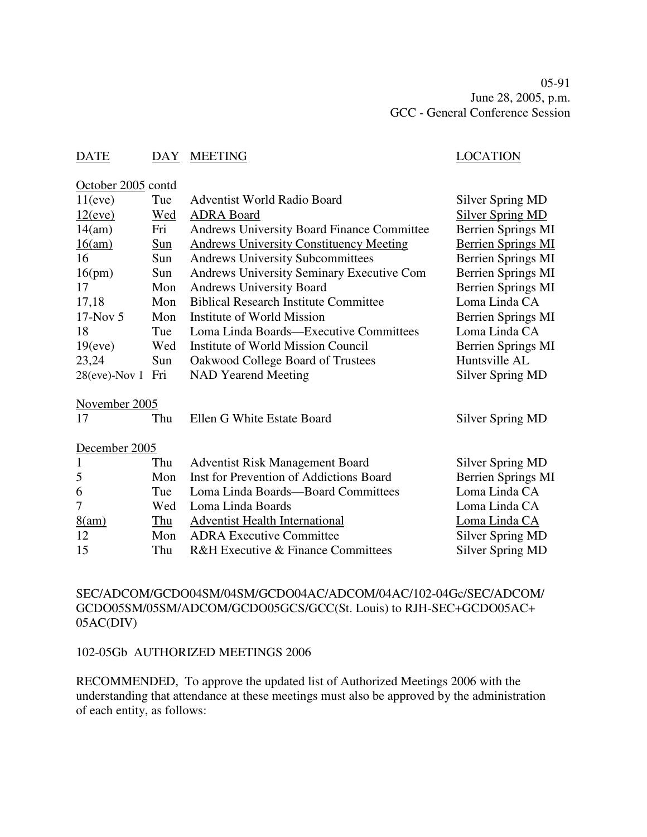05-91 June 28, 2005, p.m. GCC - General Conference Session

## DATE DAY MEETING DATE LOCATION

October 2005 contd

| 11(eve)          | Tue        | Adventist World Radio Board                       | Silver Spring MD          |
|------------------|------------|---------------------------------------------------|---------------------------|
| 12(eve)          | <u>Wed</u> | <b>ADRA Board</b>                                 | <b>Silver Spring MD</b>   |
| 14(am)           | Fri        | <b>Andrews University Board Finance Committee</b> | Berrien Springs MI        |
| 16(am)           | $Sum$      | <b>Andrews University Constituency Meeting</b>    | <b>Berrien Springs MI</b> |
| 16               | Sun        | <b>Andrews University Subcommittees</b>           | <b>Berrien Springs MI</b> |
| 16(pm)           | Sun        | Andrews University Seminary Executive Com         | <b>Berrien Springs MI</b> |
| 17               | Mon        | <b>Andrews University Board</b>                   | Berrien Springs MI        |
| 17,18            | Mon        | <b>Biblical Research Institute Committee</b>      | Loma Linda CA             |
| $17$ -Nov 5      | Mon        | Institute of World Mission                        | <b>Berrien Springs MI</b> |
| 18               | Tue        | Loma Linda Boards—Executive Committees            | Loma Linda CA             |
| 19(eve)          | Wed        | Institute of World Mission Council                | <b>Berrien Springs MI</b> |
| 23,24            | Sun        | Oakwood College Board of Trustees                 | Huntsville AL             |
| $28(eve)$ -Nov 1 | Fri        | NAD Yearend Meeting                               | Silver Spring MD          |
| November 2005    |            |                                                   |                           |
| 17               | Thu        | Ellen G White Estate Board                        | Silver Spring MD          |
| December 2005    |            |                                                   |                           |
| $\mathbf{1}$     | Thu        | <b>Adventist Risk Management Board</b>            | Silver Spring MD          |
| 5                | Mon        | Inst for Prevention of Addictions Board           | Berrien Springs MI        |
| 6                | Tue        | Loma Linda Boards-Board Committees                | Loma Linda CA             |
| 7                | Wed        | Loma Linda Boards                                 | Loma Linda CA             |
| 8(am)            | Thu        | <b>Adventist Health International</b>             | Loma Linda CA             |
| 12               | Mon        | <b>ADRA Executive Committee</b>                   | Silver Spring MD          |
| 15               | Thu        | R&H Executive & Finance Committees                | Silver Spring MD          |

SEC/ADCOM/GCDO04SM/04SM/GCDO04AC/ADCOM/04AC/102-04Gc/SEC/ADCOM/ GCDO05SM/05SM/ADCOM/GCDO05GCS/GCC(St. Louis) to RJH-SEC+GCDO05AC+ 05AC(DIV)

#### 102-05Gb AUTHORIZED MEETINGS 2006

RECOMMENDED, To approve the updated list of Authorized Meetings 2006 with the understanding that attendance at these meetings must also be approved by the administration of each entity, as follows: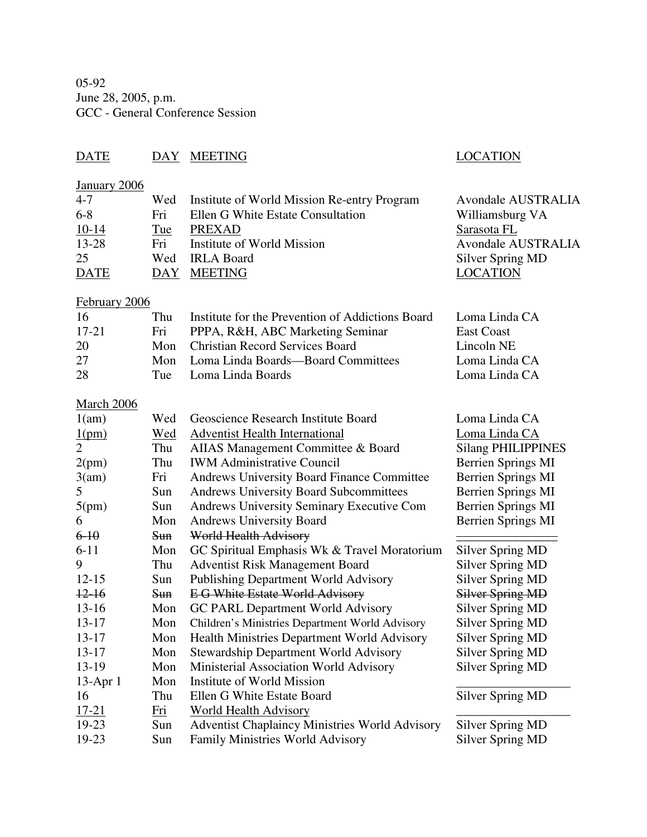05-92 June 28, 2005, p.m. GCC - General Conference Session

## DATE DAY MEETING LOCATION

## January 2006

| $4 - 7$     |     | Wed Institute of World Mission Re-entry Program | <b>Avondale AUSTRALIA</b> |
|-------------|-----|-------------------------------------------------|---------------------------|
| $6 - 8$     | Fri | Ellen G White Estate Consultation               | Williamsburg VA           |
| $10-14$     | Tue | PREXAD                                          | Sarasota FL               |
| 13-28       | Fri | Institute of World Mission                      | <b>Avondale AUSTRALIA</b> |
| 25          |     | Wed IRLA Board                                  | Silver Spring MD          |
| <b>DATE</b> |     | DAY MEETING                                     | <b>LOCATION</b>           |
|             |     |                                                 |                           |

## February 2006

| -16       | Thu | Institute for the Prevention of Addictions Board | Loma Linda CA |
|-----------|-----|--------------------------------------------------|---------------|
| $17 - 21$ | Fri | PPPA, R&H, ABC Marketing Seminar                 | East Coast    |
| 20        |     | Mon Christian Record Services Board              | Lincoln NE    |
| 27        |     | Mon Loma Linda Boards—Board Committees           | Loma Linda CA |
| -28       |     | Tue Loma Linda Boards                            | Loma Linda CA |

## **March 2006**

| 1(am)          | Wed        | Geoscience Research Institute Board                   | Loma Linda CA             |
|----------------|------------|-------------------------------------------------------|---------------------------|
| 1(pm)          | Wed        | <b>Adventist Health International</b>                 | Loma Linda CA             |
| $\overline{2}$ | Thu        | AIIAS Management Committee & Board                    | <b>Silang PHILIPPINES</b> |
| 2(pm)          | Thu        | <b>IWM Administrative Council</b>                     | <b>Berrien Springs MI</b> |
| 3(am)          | Fri        | Andrews University Board Finance Committee            | <b>Berrien Springs MI</b> |
| 5              | Sun        | <b>Andrews University Board Subcommittees</b>         | <b>Berrien Springs MI</b> |
| 5(pm)          | Sun        | Andrews University Seminary Executive Com             | Berrien Springs MI        |
| 6              | Mon        | <b>Andrews University Board</b>                       | <b>Berrien Springs MI</b> |
| $6 - 10$       | <b>Sun</b> | <b>World Health Advisory</b>                          |                           |
| $6 - 11$       | Mon        | GC Spiritual Emphasis Wk & Travel Moratorium          | <b>Silver Spring MD</b>   |
| 9              | Thu        | <b>Adventist Risk Management Board</b>                | <b>Silver Spring MD</b>   |
| $12 - 15$      | Sun        | <b>Publishing Department World Advisory</b>           | Silver Spring MD          |
| $12-16$        | <b>Sun</b> | <b>EG White Estate World Advisory</b>                 | Silver Spring MD          |
| $13-16$        | Mon        | GC PARL Department World Advisory                     | Silver Spring MD          |
| $13-17$        | Mon        | Children's Ministries Department World Advisory       | <b>Silver Spring MD</b>   |
| $13 - 17$      | Mon        | <b>Health Ministries Department World Advisory</b>    | Silver Spring MD          |
| $13 - 17$      | Mon        | Stewardship Department World Advisory                 | Silver Spring MD          |
| 13-19          | Mon        | Ministerial Association World Advisory                | Silver Spring MD          |
| $13$ -Apr $1$  | Mon        | Institute of World Mission                            |                           |
| 16             | Thu        | Ellen G White Estate Board                            | <b>Silver Spring MD</b>   |
| 17-21          | Fri        | World Health Advisory                                 |                           |
| 19-23          | Sun        | <b>Adventist Chaplaincy Ministries World Advisory</b> | <b>Silver Spring MD</b>   |
| 19-23          | Sun        | <b>Family Ministries World Advisory</b>               | <b>Silver Spring MD</b>   |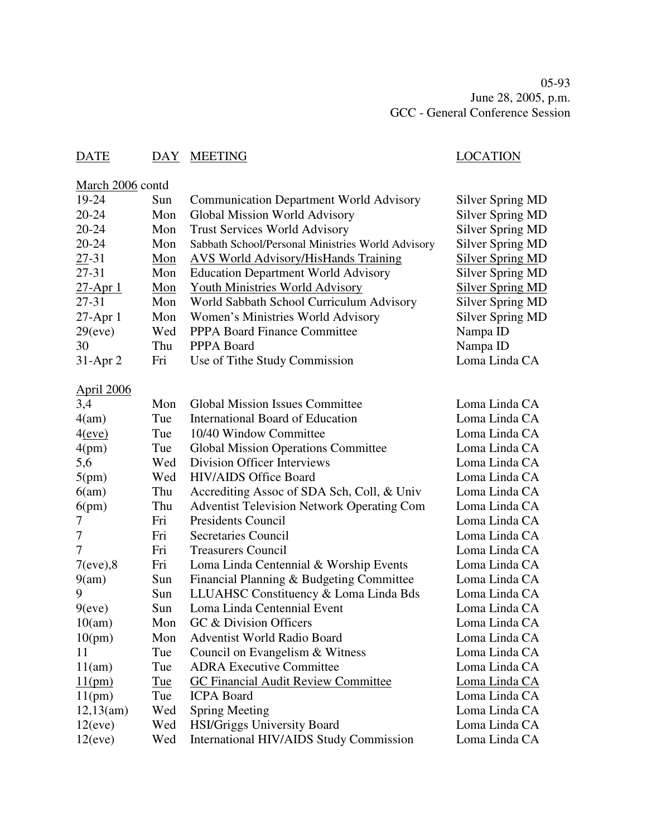## DATE DAY MEETING LOCATION

| March 2006 contd |     |                                                   |                         |
|------------------|-----|---------------------------------------------------|-------------------------|
| 19-24            | Sun | <b>Communication Department World Advisory</b>    | Silver Spring MD        |
| $20 - 24$        | Mon | Global Mission World Advisory                     | <b>Silver Spring MD</b> |
| 20-24            | Mon | <b>Trust Services World Advisory</b>              | <b>Silver Spring MD</b> |
| 20-24            | Mon | Sabbath School/Personal Ministries World Advisory | <b>Silver Spring MD</b> |
| 27-31            | Mon | <b>AVS World Advisory/HisHands Training</b>       | <b>Silver Spring MD</b> |
| $27 - 31$        | Mon | <b>Education Department World Advisory</b>        | <b>Silver Spring MD</b> |
| <u>27-Apr 1</u>  | Mon | Youth Ministries World Advisory                   | <b>Silver Spring MD</b> |
| 27-31            | Mon | World Sabbath School Curriculum Advisory          | <b>Silver Spring MD</b> |
| 27-Apr 1         | Mon | Women's Ministries World Advisory                 | <b>Silver Spring MD</b> |
| 29(eve)          | Wed | <b>PPPA Board Finance Committee</b>               | Nampa ID                |
| 30               | Thu | PPPA Board                                        | Nampa ID                |
| $31$ -Apr 2      | Fri | Use of Tithe Study Commission                     | Loma Linda CA           |
| April 2006       |     |                                                   |                         |
| 3,4              | Mon | <b>Global Mission Issues Committee</b>            | Loma Linda CA           |
| 4(am)            | Tue | <b>International Board of Education</b>           | Loma Linda CA           |
| 4(eve)           | Tue | 10/40 Window Committee                            | Loma Linda CA           |
| 4(pm)            | Tue | <b>Global Mission Operations Committee</b>        | Loma Linda CA           |
| 5,6              | Wed | Division Officer Interviews                       | Loma Linda CA           |
| 5(pm)            | Wed | <b>HIV/AIDS Office Board</b>                      | Loma Linda CA           |
| 6(am)            | Thu | Accrediting Assoc of SDA Sch, Coll, & Univ        | Loma Linda CA           |
| 6(pm)            | Thu | <b>Adventist Television Network Operating Com</b> | Loma Linda CA           |
| 7                | Fri | <b>Presidents Council</b>                         | Loma Linda CA           |
| 7                | Fri | Secretaries Council                               | Loma Linda CA           |
| 7                | Fri | <b>Treasurers Council</b>                         | Loma Linda CA           |
| $7(eve)$ ,8      | Fri | Loma Linda Centennial & Worship Events            | Loma Linda CA           |
| 9(am)            | Sun | Financial Planning & Budgeting Committee          | Loma Linda CA           |
| 9                | Sun | LLUAHSC Constituency & Loma Linda Bds             | Loma Linda CA           |
| 9(eve)           | Sun | Loma Linda Centennial Event                       | Loma Linda CA           |
| 10(am)           | Mon | GC & Division Officers                            | Loma Linda CA           |
| 10(pm)           | Mon | <b>Adventist World Radio Board</b>                | Loma Linda CA           |
| 11               | Tue | Council on Evangelism & Witness                   | Loma Linda CA           |
| 11(am)           | Tue | <b>ADRA Executive Committee</b>                   | Loma Linda CA           |
| 11(pm)           | Tue | <b>GC Financial Audit Review Committee</b>        | Loma Linda CA           |
| 11(pm)           | Tue | <b>ICPA Board</b>                                 | Loma Linda CA           |
| 12,13(am)        | Wed | <b>Spring Meeting</b>                             | Loma Linda CA           |
| 12(eve)          | Wed | HSI/Griggs University Board                       | Loma Linda CA           |
| 12(eve)          | Wed | International HIV/AIDS Study Commission           | Loma Linda CA           |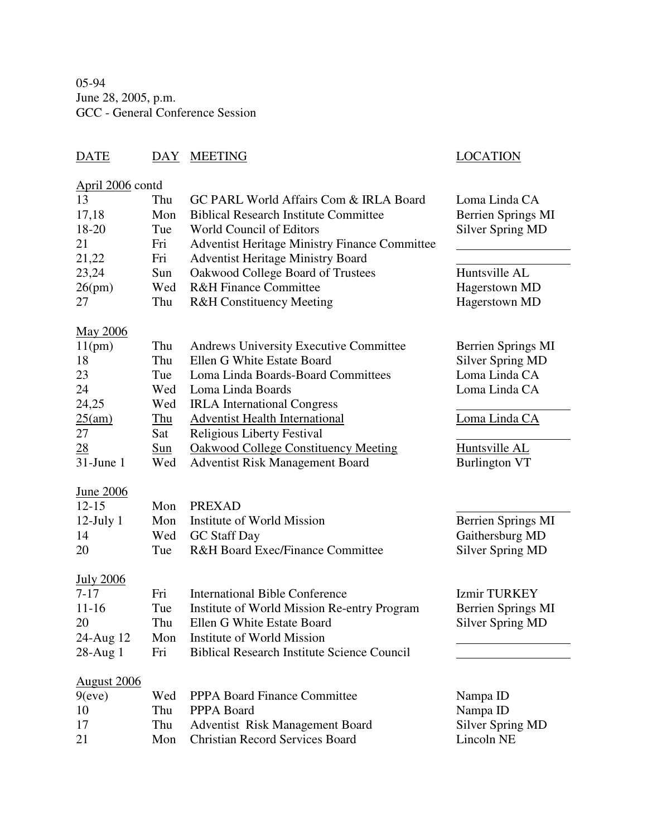05-94 June 28, 2005, p.m. GCC - General Conference Session

## DATE DAY MEETING LOCATION

## April 2006 contd

| 13<br>17,18        | Thu<br>Mon | GC PARL World Affairs Com & IRLA Board<br><b>Biblical Research Institute Committee</b> | Loma Linda CA             |
|--------------------|------------|----------------------------------------------------------------------------------------|---------------------------|
| 18-20              | Tue        | <b>World Council of Editors</b>                                                        | <b>Berrien Springs MI</b> |
| 21                 | Fri        |                                                                                        | <b>Silver Spring MD</b>   |
| 21,22              |            | <b>Adventist Heritage Ministry Finance Committee</b>                                   |                           |
|                    | Fri        | <b>Adventist Heritage Ministry Board</b>                                               |                           |
| 23,24              | Sun        | Oakwood College Board of Trustees                                                      | Huntsville AL             |
| 26(pm)             | Wed        | <b>R&amp;H Finance Committee</b>                                                       | Hagerstown MD             |
| 27                 | Thu        | <b>R&amp;H</b> Constituency Meeting                                                    | Hagerstown MD             |
| <b>May 2006</b>    |            |                                                                                        |                           |
| 11(pm)             | Thu        | <b>Andrews University Executive Committee</b>                                          | <b>Berrien Springs MI</b> |
| 18                 | Thu        | Ellen G White Estate Board                                                             | <b>Silver Spring MD</b>   |
| 23                 | Tue        | Loma Linda Boards-Board Committees                                                     | Loma Linda CA             |
| 24                 | Wed        | Loma Linda Boards                                                                      | Loma Linda CA             |
| 24,25              | Wed        | <b>IRLA</b> International Congress                                                     |                           |
| 25(am)             | $T$ hu     | <b>Adventist Health International</b>                                                  | Loma Linda CA             |
| 27                 | Sat        | <b>Religious Liberty Festival</b>                                                      |                           |
| 28                 | Sun        | <b>Oakwood College Constituency Meeting</b>                                            | Huntsville AL             |
| $31$ -June 1       | Wed        | <b>Adventist Risk Management Board</b>                                                 | <b>Burlington VT</b>      |
|                    |            |                                                                                        |                           |
| <b>June 2006</b>   |            |                                                                                        |                           |
| $12 - 15$          | Mon        | <b>PREXAD</b>                                                                          |                           |
| $12$ -July $1$     | Mon        | Institute of World Mission                                                             | <b>Berrien Springs MI</b> |
| 14                 | Wed        | <b>GC</b> Staff Day                                                                    | Gaithersburg MD           |
| 20                 | Tue        | <b>R&amp;H Board Exec/Finance Committee</b>                                            | <b>Silver Spring MD</b>   |
|                    |            |                                                                                        |                           |
| <b>July 2006</b>   |            |                                                                                        |                           |
| $7 - 17$           | Fri        | <b>International Bible Conference</b>                                                  | <b>Izmir TURKEY</b>       |
| $11 - 16$          | Tue        | Institute of World Mission Re-entry Program                                            | <b>Berrien Springs MI</b> |
| 20                 | Thu        | Ellen G White Estate Board                                                             | <b>Silver Spring MD</b>   |
| 24-Aug 12          | Mon        | Institute of World Mission                                                             |                           |
| 28-Aug 1           | Fri        | <b>Biblical Research Institute Science Council</b>                                     |                           |
|                    |            |                                                                                        |                           |
| <b>August 2006</b> |            |                                                                                        |                           |
| 9(eve)             | Wed        | PPPA Board Finance Committee                                                           | Nampa ID                  |
| 10                 | Thu        | PPPA Board                                                                             | Nampa ID                  |
| 17                 | Thu        | Adventist Risk Management Board                                                        | <b>Silver Spring MD</b>   |
| 21                 | Mon        | <b>Christian Record Services Board</b>                                                 | Lincoln NE                |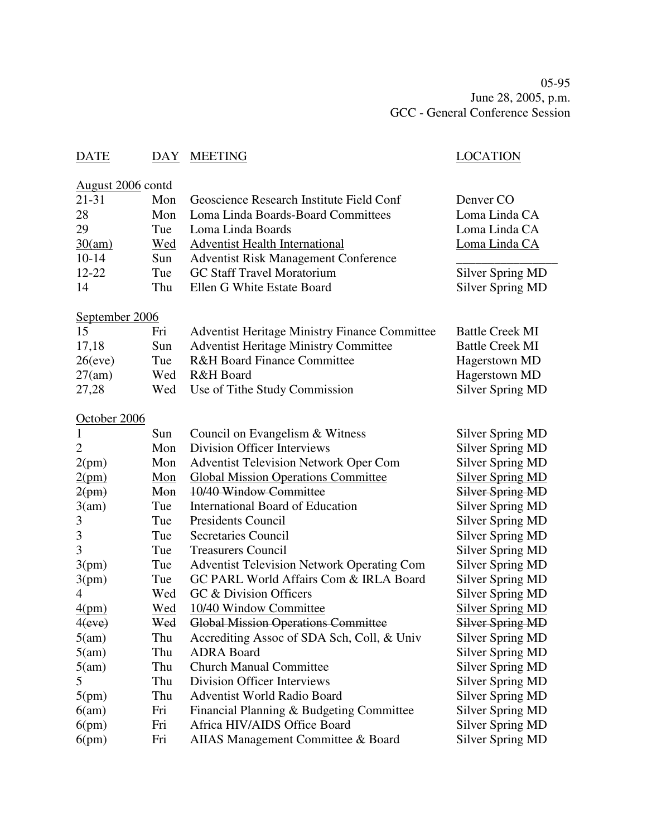05-95 June 28, 2005, p.m. GCC - General Conference Session

## DATE DAY MEETING SERVICES AND LOCATION

## August 2006 contd

| $21 - 31$ |     | Mon Geoscience Research Institute Field Conf | Denver CO        |
|-----------|-----|----------------------------------------------|------------------|
| 28        |     | Mon Loma Linda Boards-Board Committees       | Loma Linda CA    |
| 29        | Tue | Loma Linda Boards                            | Loma Linda CA    |
| 30(am)    | Wed | <b>Adventist Health International</b>        | Loma Linda CA    |
| $10-14$   | Sun | <b>Adventist Risk Management Conference</b>  |                  |
| $12 - 22$ | Tue | <b>GC Staff Travel Moratorium</b>            | Silver Spring MD |
| 14        | Thu | Ellen G White Estate Board                   | Silver Spring MD |
|           |     |                                              |                  |

## September 2006

| 15         | Fri  | <b>Adventist Heritage Ministry Finance Committee</b> | <b>Battle Creek MI</b> |
|------------|------|------------------------------------------------------|------------------------|
| 17,18      | Sun. | <b>Adventist Heritage Ministry Committee</b>         | <b>Battle Creek MI</b> |
| $26$ (eve) | Tue  | <b>R&amp;H Board Finance Committee</b>               | Hagerstown MD          |
| 27(am)     |      | Wed R&H Board                                        | Hagerstown MD          |
| 27,28      |      | Wed Use of Tithe Study Commission                    | Silver Spring MD       |

## October 2006

| 1      | Sun | Council on Evangelism & Witness                   | Silver Spring MD        |
|--------|-----|---------------------------------------------------|-------------------------|
| 2      | Mon | Division Officer Interviews                       | <b>Silver Spring MD</b> |
| 2(pm)  | Mon | <b>Adventist Television Network Oper Com</b>      | <b>Silver Spring MD</b> |
| 2(pm)  | Mon | <b>Global Mission Operations Committee</b>        | <b>Silver Spring MD</b> |
| 2(pm)  | Mon | 10/40 Window Committee                            | Silver Spring MD        |
| 3(am)  | Tue | International Board of Education                  | <b>Silver Spring MD</b> |
| 3      | Tue | <b>Presidents Council</b>                         | <b>Silver Spring MD</b> |
| 3      | Tue | <b>Secretaries Council</b>                        | <b>Silver Spring MD</b> |
| 3      | Tue | <b>Treasurers Council</b>                         | <b>Silver Spring MD</b> |
| 3(pm)  | Tue | <b>Adventist Television Network Operating Com</b> | <b>Silver Spring MD</b> |
| 3(pm)  | Tue | GC PARL World Affairs Com & IRLA Board            | <b>Silver Spring MD</b> |
| 4      | Wed | GC & Division Officers                            | <b>Silver Spring MD</b> |
| 4(pm)  | Wed | 10/40 Window Committee                            | <b>Silver Spring MD</b> |
| 4(eve) | Wed | <b>Global Mission Operations Committee</b>        | <b>Silver Spring MD</b> |
| 5(am)  | Thu | Accrediting Assoc of SDA Sch, Coll, & Univ        | Silver Spring MD        |
| 5(am)  | Thu | <b>ADRA Board</b>                                 | <b>Silver Spring MD</b> |
| 5(am)  | Thu | <b>Church Manual Committee</b>                    | <b>Silver Spring MD</b> |
| 5.     | Thu | Division Officer Interviews                       | Silver Spring MD        |
| 5(pm)  | Thu | <b>Adventist World Radio Board</b>                | Silver Spring MD        |
| 6(am)  | Fri | Financial Planning & Budgeting Committee          | Silver Spring MD        |
| 6(pm)  | Fri | Africa HIV/AIDS Office Board                      | <b>Silver Spring MD</b> |
| 6(pm)  | Fri | AIIAS Management Committee & Board                | <b>Silver Spring MD</b> |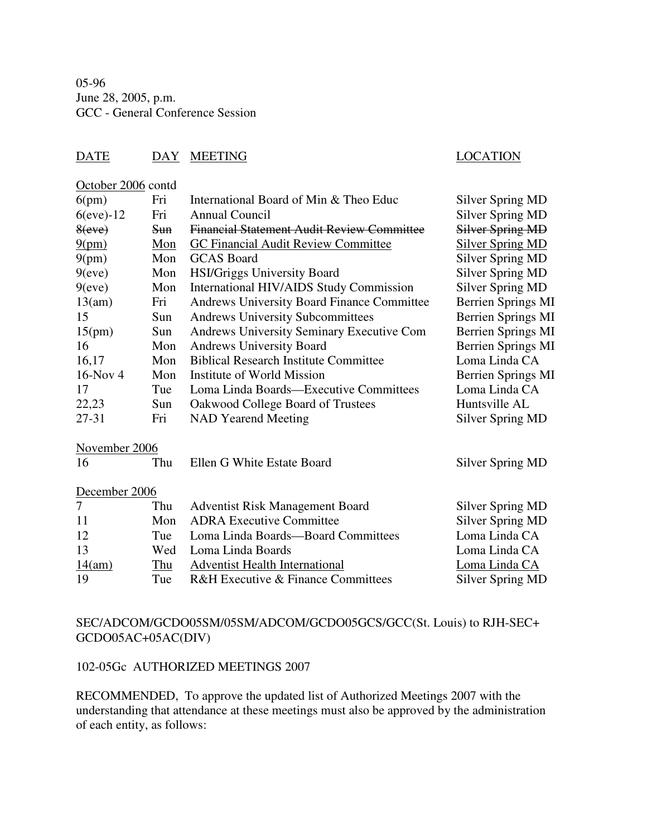05-96 June 28, 2005, p.m. GCC - General Conference Session

## DATE DAY MEETING DATE LOCATION

October 2006 contd

| 6(pm)           | Fri        | International Board of Min & Theo Educ            | <b>Silver Spring MD</b>   |
|-----------------|------------|---------------------------------------------------|---------------------------|
| $6$ (eve)- $12$ | Fri        | <b>Annual Council</b>                             | Silver Spring MD          |
| 8(eve)          | <b>Sun</b> | <b>Financial Statement Audit Review Committee</b> | Silver Spring MD          |
| 9(pm)           | Mon        | <b>GC Financial Audit Review Committee</b>        | <b>Silver Spring MD</b>   |
| 9(pm)           | Mon        | <b>GCAS</b> Board                                 | <b>Silver Spring MD</b>   |
| 9(eve)          | Mon        | HSI/Griggs University Board                       | <b>Silver Spring MD</b>   |
| 9(eve)          | Mon        | International HIV/AIDS Study Commission           | Silver Spring MD          |
| 13(am)          | Fri        | <b>Andrews University Board Finance Committee</b> | <b>Berrien Springs MI</b> |
| 15              | Sun        | <b>Andrews University Subcommittees</b>           | <b>Berrien Springs MI</b> |
| 15(pm)          | Sun        | Andrews University Seminary Executive Com         | <b>Berrien Springs MI</b> |
| 16              | Mon        | <b>Andrews University Board</b>                   | Berrien Springs MI        |
| 16,17           | Mon        | <b>Biblical Research Institute Committee</b>      | Loma Linda CA             |
| 16-Nov 4        | Mon        | Institute of World Mission                        | <b>Berrien Springs MI</b> |
| 17              | Tue        | Loma Linda Boards—Executive Committees            | Loma Linda CA             |
| 22,23           | Sun        | Oakwood College Board of Trustees                 | Huntsville AL             |
| $27 - 31$       | Fri        | <b>NAD Yearend Meeting</b>                        | Silver Spring MD          |
| November 2006   |            |                                                   |                           |
| 16              | Thu        | Ellen G White Estate Board                        | <b>Silver Spring MD</b>   |
| December 2006   |            |                                                   |                           |
| 7               | Thu        | <b>Adventist Risk Management Board</b>            | Silver Spring MD          |
| 11              | Mon        | <b>ADRA Executive Committee</b>                   | Silver Spring MD          |
| 12              | Tue        | Loma Linda Boards-Board Committees                | Loma Linda CA             |
| 13              | Wed        | Loma Linda Boards                                 | Loma Linda CA             |
|                 |            |                                                   |                           |

14(am) Thu Adventist Health International Loma Linda CA<br>19 Tue R&H Executive & Finance Committees Silver Spring MD 19 Tue R&H Executive & Finance Committees

## SEC/ADCOM/GCDO05SM/05SM/ADCOM/GCDO05GCS/GCC(St. Louis) to RJH-SEC+ GCDO05AC+05AC(DIV)

## 102-05Gc AUTHORIZED MEETINGS 2007

RECOMMENDED, To approve the updated list of Authorized Meetings 2007 with the understanding that attendance at these meetings must also be approved by the administration of each entity, as follows: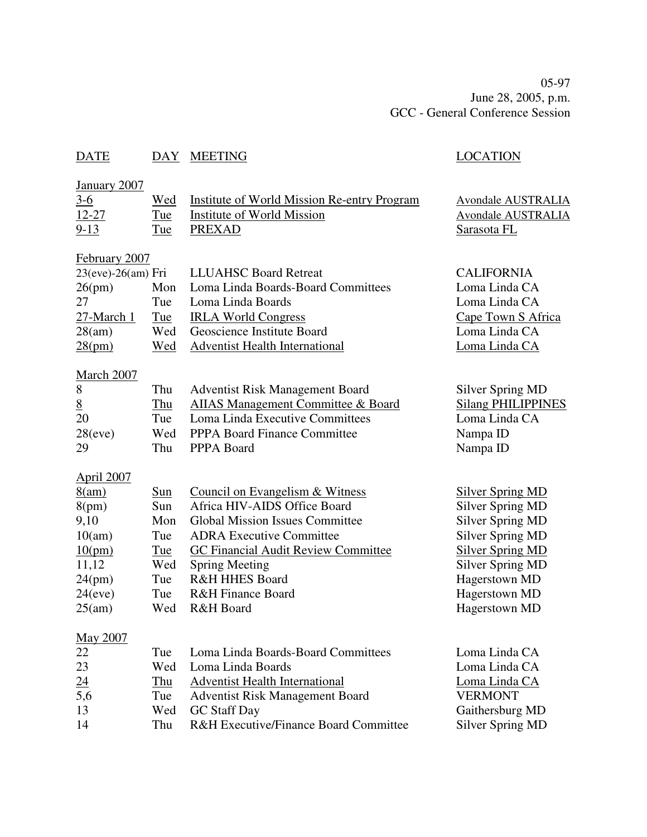05-97 June 28, 2005, p.m. GCC - General Conference Session

## DATE DAY MEETING LOCATION

| January 2007       |     |                                                    |                           |
|--------------------|-----|----------------------------------------------------|---------------------------|
| $3-6$              | Wed | <b>Institute of World Mission Re-entry Program</b> | <b>Avondale AUSTRALIA</b> |
| $12 - 27$          | Tue | <b>Institute of World Mission</b>                  | <b>Avondale AUSTRALIA</b> |
| $9-13$             | Tue | <b>PREXAD</b>                                      | Sarasota FL               |
| February 2007      |     |                                                    |                           |
| 23(eve)-26(am) Fri |     | <b>LLUAHSC Board Retreat</b>                       | <b>CALIFORNIA</b>         |
| 26(pm)             | Mon | Loma Linda Boards-Board Committees                 | Loma Linda CA             |
| 27                 | Tue | Loma Linda Boards                                  | Loma Linda CA             |
| 27-March 1         | Tue | <b>IRLA World Congress</b>                         | Cape Town S Africa        |
| 28(am)             | Wed | Geoscience Institute Board                         | Loma Linda CA             |
| 28(pm)             | Wed | <b>Adventist Health International</b>              | Loma Linda CA             |
| March 2007         |     |                                                    |                           |
| 8                  | Thu | <b>Adventist Risk Management Board</b>             | <b>Silver Spring MD</b>   |
| $8\overline{6}$    | Thu | AIIAS Management Committee & Board                 | <b>Silang PHILIPPINES</b> |
| 20                 | Tue | Loma Linda Executive Committees                    | Loma Linda CA             |
| 28(eve)            | Wed | PPPA Board Finance Committee                       | Nampa ID                  |
| 29                 | Thu | PPPA Board                                         | Nampa ID                  |
| <b>April 2007</b>  |     |                                                    |                           |
| 8(am)              | Sun | Council on Evangelism & Witness                    | <b>Silver Spring MD</b>   |
| 8(pm)              | Sun | Africa HIV-AIDS Office Board                       | <b>Silver Spring MD</b>   |
| 9,10               | Mon | <b>Global Mission Issues Committee</b>             | <b>Silver Spring MD</b>   |
| 10(am)             | Tue | <b>ADRA Executive Committee</b>                    | <b>Silver Spring MD</b>   |
| 10(pm)             | Tue | GC Financial Audit Review Committee                | Silver Spring MD          |
| 11,12              | Wed | <b>Spring Meeting</b>                              | <b>Silver Spring MD</b>   |
| 24(pm)             | Tue | <b>R&amp;H HHES Board</b>                          | Hagerstown MD             |
| 24(eve)            | Tue | <b>R&amp;H Finance Board</b>                       | Hagerstown MD             |
| 25(am)             | Wed | R&H Board                                          | Hagerstown MD             |
| May 2007           |     |                                                    |                           |
| 22                 | Tue | Loma Linda Boards-Board Committees                 | Loma Linda CA             |
| 23                 | Wed | Loma Linda Boards                                  | Loma Linda CA             |
|                    | Thu | <b>Adventist Health International</b>              | Loma Linda CA             |
| $\frac{24}{5,6}$   | Tue | <b>Adventist Risk Management Board</b>             | <b>VERMONT</b>            |
| 13                 | Wed | <b>GC</b> Staff Day                                | Gaithersburg MD           |
| 14                 | Thu | R&H Executive/Finance Board Committee              | <b>Silver Spring MD</b>   |
|                    |     |                                                    |                           |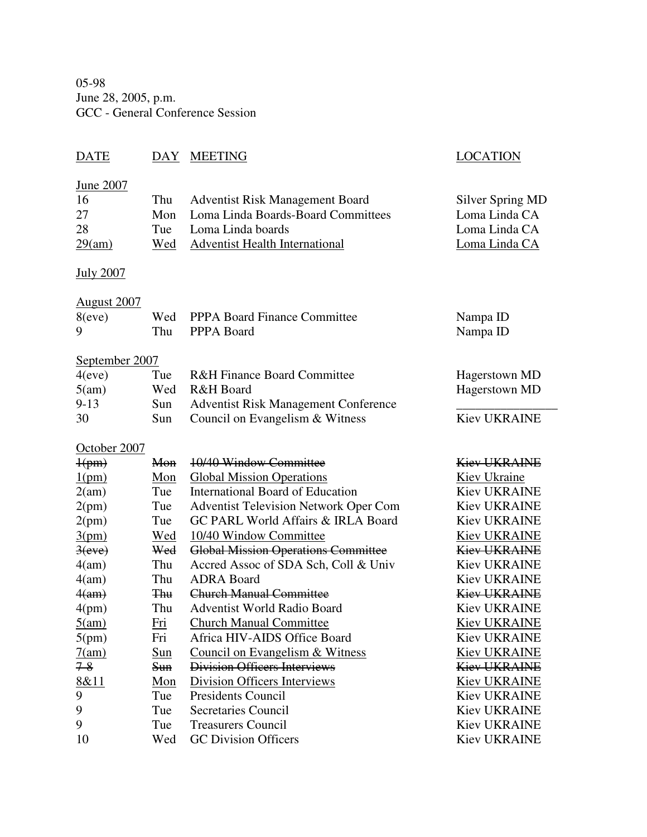05-98 June 28, 2005, p.m. GCC - General Conference Session

## DATE DAY MEETING LOCATION

Silver Spring MD Loma Linda CA Loma Linda CA Loma Linda CA

## June 2007

| -16    | Thu Adventist Risk Management Board    |
|--------|----------------------------------------|
| 27     | Mon Loma Linda Boards-Board Committees |
| 28     | Tue Loma Linda boards                  |
| 29(am) | Wed Adventist Health International     |
|        |                                        |

### July 2007

### August 2007

| 8(eve) | Wed PPPA Board Finance Committee | Nampa ID |
|--------|----------------------------------|----------|
|        | Thu PPPA Board                   | Nampa ID |

## September 2007

| 4(eve)   | Tue  | <b>R&amp;H Finance Board Committee</b>      | Hagerstown MD       |
|----------|------|---------------------------------------------|---------------------|
| 5(am)    |      | Wed R&H Board                               | Hagerstown MD       |
| $9 - 13$ | Sun. | <b>Adventist Risk Management Conference</b> |                     |
| 30       | Sun. | Council on Evangelism & Witness             | <b>Kiev UKRAINE</b> |

## October 2007

| $\frac{1}{\text{pm}}$ | Mon        | 10/40 Window Committee                        | <b>Kiev UKRAINE</b> |
|-----------------------|------------|-----------------------------------------------|---------------------|
| 1(pm)                 | Mon        | <b>Global Mission Operations</b>              | Kiev Ukraine        |
| 2(am)                 | Tue        | International Board of Education              | <b>Kiev UKRAINE</b> |
| 2(pm)                 | Tue        | <b>Adventist Television Network Oper Com</b>  | <b>Kiev UKRAINE</b> |
| 2(pm)                 | Tue        | <b>GC PARL World Affairs &amp; IRLA Board</b> | <b>Kiev UKRAINE</b> |
| 3(pm)                 | Wed        | 10/40 Window Committee                        | <b>Kiev UKRAINE</b> |
| 3(eve)                | Wed        | <b>Global Mission Operations Committee</b>    | <b>Kiev UKRAINE</b> |
| 4(am)                 | Thu        | Accred Assoc of SDA Sch, Coll & Univ          | <b>Kiev UKRAINE</b> |
| 4(am)                 | Thu        | <b>ADRA</b> Board                             | <b>Kiev UKRAINE</b> |
| $4(a_m)$              | <b>Thu</b> | <b>Church Manual Committee</b>                | <b>Kiev UKRAINE</b> |
| 4(pm)                 | Thu        | <b>Adventist World Radio Board</b>            | <b>Kiev UKRAINE</b> |
| 5(am)                 | Fri        | <b>Church Manual Committee</b>                | <b>Kiev UKRAINE</b> |
| 5(pm)                 | Fri        | Africa HIV-AIDS Office Board                  | <b>Kiev UKRAINE</b> |
| 7(am)                 | <u>Sun</u> | Council on Evangelism & Witness               | <b>Kiev UKRAINE</b> |
| $7 - 8$               | <b>Sun</b> | <b>Division Officers Interviews</b>           | <b>Kiev UKRAINE</b> |
| 8&11                  | Mon        | Division Officers Interviews                  | <b>Kiev UKRAINE</b> |
| 9                     | Tue        | <b>Presidents Council</b>                     | <b>Kiev UKRAINE</b> |
| 9                     | Tue        | <b>Secretaries Council</b>                    | <b>Kiev UKRAINE</b> |
| 9                     | Tue        | <b>Treasurers Council</b>                     | <b>Kiev UKRAINE</b> |
| 10                    | Wed        | <b>GC</b> Division Officers                   | <b>Kiev UKRAINE</b> |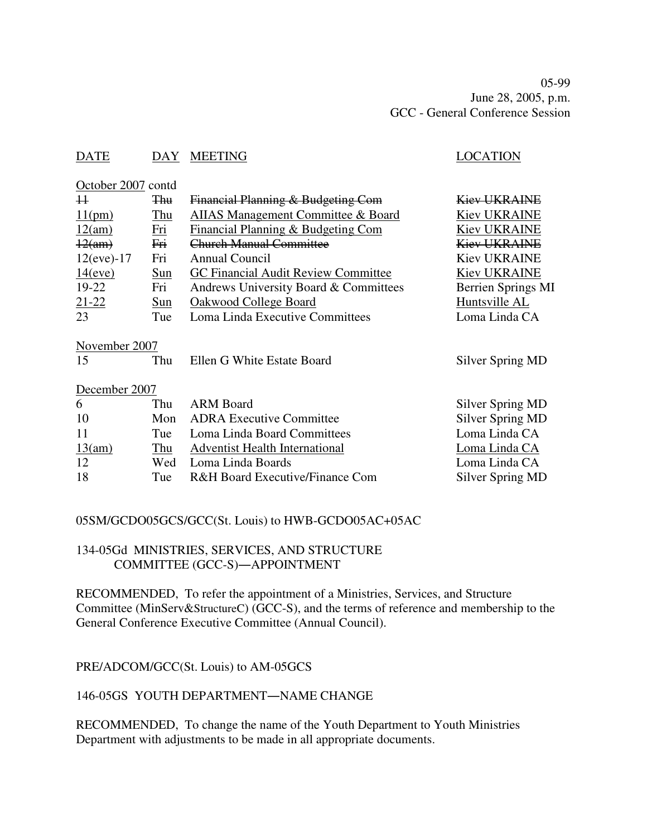05-99 June 28, 2005, p.m. GCC - General Conference Session

## DATE DAY MEETING SERVICES AND LOCATION

October 2007 contd

| 11                  | <b>Thu</b> | Financial Planning & Budgeting Com            | <b>Kiev UKRAINE</b>     |
|---------------------|------------|-----------------------------------------------|-------------------------|
| 11(pm)              | <u>Thu</u> | <b>AIIAS Management Committee &amp; Board</b> | <b>Kiev UKRAINE</b>     |
| 12(am)              | <b>Fri</b> | <b>Financial Planning &amp; Budgeting Com</b> | <b>Kiev UKRAINE</b>     |
| $\frac{12(am)}{}$   | Fri        | <b>Church Manual Committee</b>                | <b>Kiev UKRAINE</b>     |
| $12(eve) - 17$      | Fri        | <b>Annual Council</b>                         | <b>Kiev UKRAINE</b>     |
| 14(eve)             | Sun        | GC Financial Audit Review Committee           | <b>Kiev UKRAINE</b>     |
| 19-22               | Fri        | Andrews University Board & Committees         | Berrien Springs MI      |
| $21 - 22$           | Sun        | Oakwood College Board                         | Huntsville AL           |
| 23                  | Tue        | Loma Linda Executive Committees               | Loma Linda CA           |
| November 2007<br>15 | Thu        | Ellen G White Estate Board                    | Silver Spring MD        |
| December 2007       |            |                                               |                         |
| 6                   | Thu        | <b>ARM Board</b>                              | Silver Spring MD        |
| 10                  | Mon        | <b>ADRA Executive Committee</b>               | <b>Silver Spring MD</b> |
| 11                  | Tue        | Loma Linda Board Committees                   | Loma Linda CA           |
| 13(am)              | Thu        | <b>Adventist Health International</b>         | Loma Linda CA           |
| 12                  | Wed        | Loma Linda Boards                             | Loma Linda CA           |
| 18                  | Tue        | R&H Board Executive/Finance Com               | Silver Spring MD        |

## 05SM/GCDO05GCS/GCC(St. Louis) to HWB-GCDO05AC+05AC

## 134-05Gd MINISTRIES, SERVICES, AND STRUCTURE COMMITTEE (GCC-S)-APPOINTMENT

RECOMMENDED, To refer the appointment of a Ministries, Services, and Structure Committee (MinServ&StructureC) (GCC-S), and the terms of reference and membership to the General Conference Executive Committee (Annual Council).

PRE/ADCOM/GCC(St. Louis) to AM-05GCS

## 146-05GS YOUTH DEPARTMENT-NAME CHANGE

RECOMMENDED, To change the name of the Youth Department to Youth Ministries Department with adjustments to be made in all appropriate documents.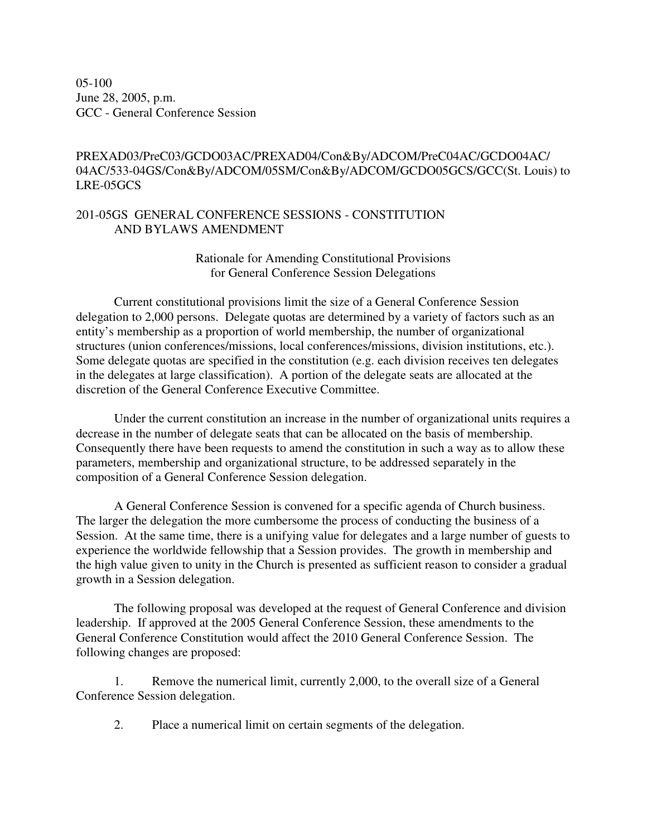05-100 June 28, 2005, p.m. GCC - General Conference Session

## PREXAD03/PreC03/GCDO03AC/PREXAD04/Con&By/ADCOM/PreC04AC/GCDO04AC/ 04AC/533-04GS/Con&By/ADCOM/05SM/Con&By/ADCOM/GCDO05GCS/GCC(St. Louis) to LRE-05GCS

### 201-05GS GENERAL CONFERENCE SESSIONS - CONSTITUTION AND BYLAWS AMENDMENT

Rationale for Amending Constitutional Provisions for General Conference Session Delegations

Current constitutional provisions limit the size of a General Conference Session delegation to 2,000 persons. Delegate quotas are determined by a variety of factors such as an entity's membership as a proportion of world membership, the number of organizational structures (union conferences/missions, local conferences/missions, division institutions, etc.). Some delegate quotas are specified in the constitution (e.g. each division receives ten delegates in the delegates at large classification). A portion of the delegate seats are allocated at the discretion of the General Conference Executive Committee.

Under the current constitution an increase in the number of organizational units requires a decrease in the number of delegate seats that can be allocated on the basis of membership. Consequently there have been requests to amend the constitution in such a way as to allow these parameters, membership and organizational structure, to be addressed separately in the composition of a General Conference Session delegation.

A General Conference Session is convened for a specific agenda of Church business. The larger the delegation the more cumbersome the process of conducting the business of a Session. At the same time, there is a unifying value for delegates and a large number of guests to experience the worldwide fellowship that a Session provides. The growth in membership and the high value given to unity in the Church is presented as sufficient reason to consider a gradual growth in a Session delegation.

The following proposal was developed at the request of General Conference and division leadership. If approved at the 2005 General Conference Session, these amendments to the General Conference Constitution would affect the 2010 General Conference Session. The following changes are proposed:

1. Remove the numerical limit, currently 2,000, to the overall size of a General Conference Session delegation.

2. Place a numerical limit on certain segments of the delegation.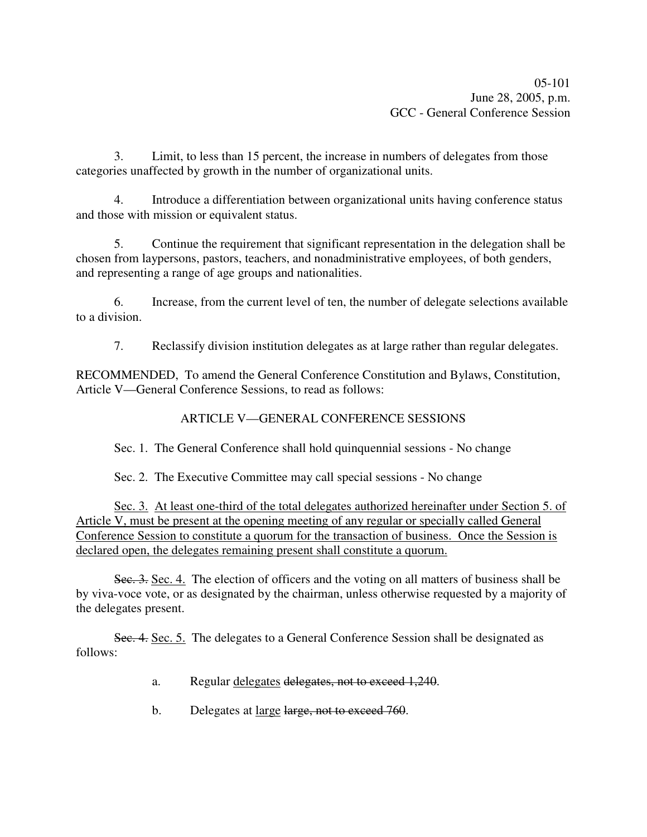3. Limit, to less than 15 percent, the increase in numbers of delegates from those categories unaffected by growth in the number of organizational units.

4. Introduce a differentiation between organizational units having conference status and those with mission or equivalent status.

5. Continue the requirement that significant representation in the delegation shall be chosen from laypersons, pastors, teachers, and nonadministrative employees, of both genders, and representing a range of age groups and nationalities.

6. Increase, from the current level of ten, the number of delegate selections available to a division.

7. Reclassify division institution delegates as at large rather than regular delegates.

RECOMMENDED, To amend the General Conference Constitution and Bylaws, Constitution, Article V—General Conference Sessions, to read as follows:

## ARTICLE V—GENERAL CONFERENCE SESSIONS

Sec. 1. The General Conference shall hold quinquennial sessions - No change

Sec. 2. The Executive Committee may call special sessions - No change

Sec. 3. At least one-third of the total delegates authorized hereinafter under Section 5. of Article V, must be present at the opening meeting of any regular or specially called General Conference Session to constitute a quorum for the transaction of business. Once the Session is declared open, the delegates remaining present shall constitute a quorum.

Sec. 3. Sec. 4. The election of officers and the voting on all matters of business shall be by viva-voce vote, or as designated by the chairman, unless otherwise requested by a majority of the delegates present.

Sec. 4. Sec. 5. The delegates to a General Conference Session shall be designated as follows:

- a. Regular delegates delegates, not to exceed 1,240.
- b. Delegates at large large, not to exceed 760.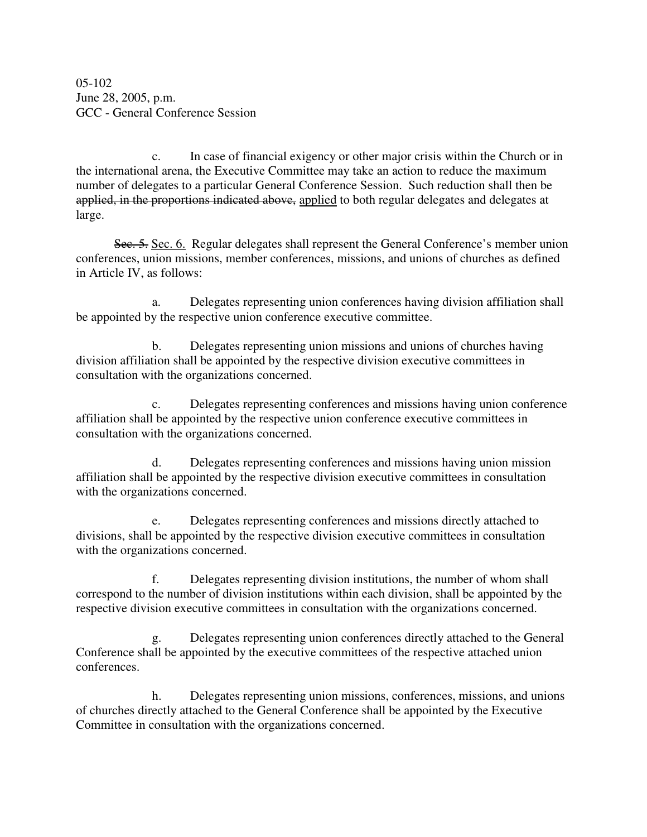05-102 June 28, 2005, p.m. GCC - General Conference Session

c. In case of financial exigency or other major crisis within the Church or in the international arena, the Executive Committee may take an action to reduce the maximum number of delegates to a particular General Conference Session. Such reduction shall then be applied, in the proportions indicated above, applied to both regular delegates and delegates at large.

Sec. 5. Sec. 6. Regular delegates shall represent the General Conference's member union conferences, union missions, member conferences, missions, and unions of churches as defined in Article IV, as follows:

a. Delegates representing union conferences having division affiliation shall be appointed by the respective union conference executive committee.

b. Delegates representing union missions and unions of churches having division affiliation shall be appointed by the respective division executive committees in consultation with the organizations concerned.

c. Delegates representing conferences and missions having union conference affiliation shall be appointed by the respective union conference executive committees in consultation with the organizations concerned.

d. Delegates representing conferences and missions having union mission affiliation shall be appointed by the respective division executive committees in consultation with the organizations concerned.

e. Delegates representing conferences and missions directly attached to divisions, shall be appointed by the respective division executive committees in consultation with the organizations concerned.

f. Delegates representing division institutions, the number of whom shall correspond to the number of division institutions within each division, shall be appointed by the respective division executive committees in consultation with the organizations concerned.

g. Delegates representing union conferences directly attached to the General Conference shall be appointed by the executive committees of the respective attached union conferences.

h. Delegates representing union missions, conferences, missions, and unions of churches directly attached to the General Conference shall be appointed by the Executive Committee in consultation with the organizations concerned.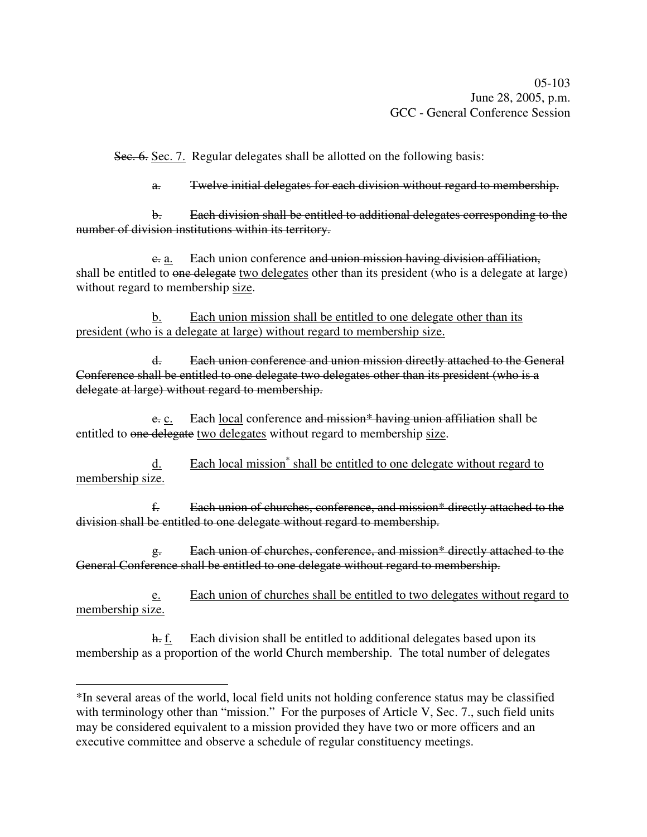Sec. 6. Sec. 7. Regular delegates shall be allotted on the following basis:

a. Twelve initial delegates for each division without regard to membership.

b. Each division shall be entitled to additional delegates corresponding to the number of division institutions within its territory.

e. a. Each union conference and union mission having division affiliation, shall be entitled to one delegate two delegates other than its president (who is a delegate at large) without regard to membership size.

b. Each union mission shall be entitled to one delegate other than its president (who is a delegate at large) without regard to membership size.

d. Each union conference and union mission directly attached to the General Conference shall be entitled to one delegate two delegates other than its president (who is a delegate at large) without regard to membership.

 $e$ . Each local conference and mission\* having union affiliation shall be entitled to one delegate two delegates without regard to membership size.

d. Each local mission<sup>\*</sup> shall be entitled to one delegate without regard to membership size.

f. Each union of churches, conference, and mission\* directly attached to the division shall be entitled to one delegate without regard to membership.

g. Each union of churches, conference, and mission\* directly attached to the General Conference shall be entitled to one delegate without regard to membership.

e. Each union of churches shall be entitled to two delegates without regard to membership size.

h. f. Each division shall be entitled to additional delegates based upon its membership as a proportion of the world Church membership. The total number of delegates

<sup>\*</sup>In several areas of the world, local field units not holding conference status may be classified with terminology other than "mission." For the purposes of Article V, Sec. 7., such field units may be considered equivalent to a mission provided they have two or more officers and an executive committee and observe a schedule of regular constituency meetings.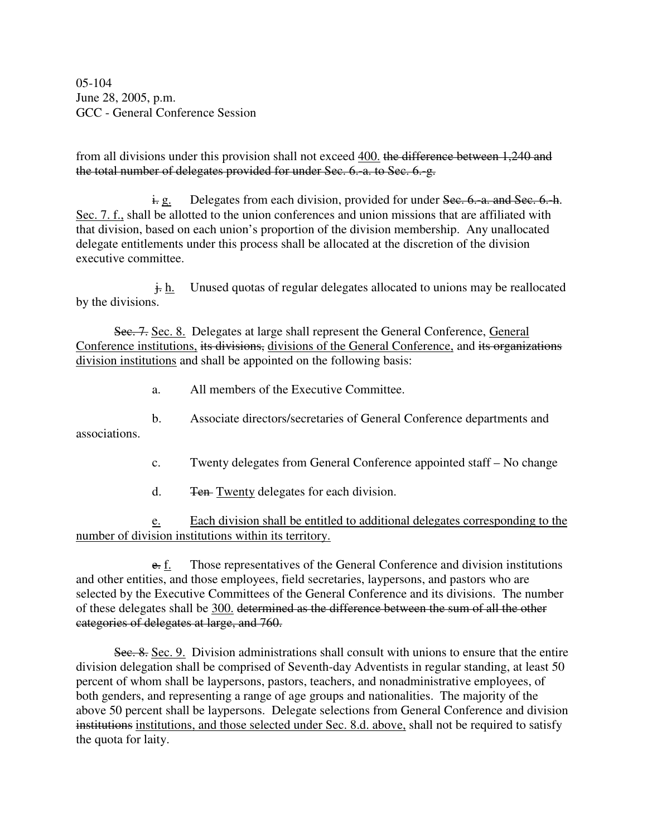05-104 June 28, 2005, p.m. GCC - General Conference Session

from all divisions under this provision shall not exceed 400. the difference between 1,240 and the total number of delegates provided for under Sec. 6.-a. to Sec. 6.-g.

 $\frac{1}{2}$  e. Delegates from each division, provided for under Sec. 6. a. and Sec. 6. h. Sec. 7. f., shall be allotted to the union conferences and union missions that are affiliated with that division, based on each union's proportion of the division membership. Any unallocated delegate entitlements under this process shall be allocated at the discretion of the division executive committee.

 $\frac{1}{k}$  h. Unused quotas of regular delegates allocated to unions may be reallocated by the divisions.

Sec. 7. Sec. 8. Delegates at large shall represent the General Conference, General Conference institutions, its divisions, divisions of the General Conference, and its organizations division institutions and shall be appointed on the following basis:

- a. All members of the Executive Committee.
- b. Associate directors/secretaries of General Conference departments and associations.
	- c. Twenty delegates from General Conference appointed staff No change
	- d. Ten-Twenty delegates for each division.

e. Each division shall be entitled to additional delegates corresponding to the number of division institutions within its territory.

e. f. Those representatives of the General Conference and division institutions and other entities, and those employees, field secretaries, laypersons, and pastors who are selected by the Executive Committees of the General Conference and its divisions. The number of these delegates shall be 300. determined as the difference between the sum of all the other categories of delegates at large, and 760.

Sec. 8. Sec. 9. Division administrations shall consult with unions to ensure that the entire division delegation shall be comprised of Seventh-day Adventists in regular standing, at least 50 percent of whom shall be laypersons, pastors, teachers, and nonadministrative employees, of both genders, and representing a range of age groups and nationalities. The majority of the above 50 percent shall be laypersons. Delegate selections from General Conference and division institutions institutions, and those selected under Sec. 8.d. above, shall not be required to satisfy the quota for laity.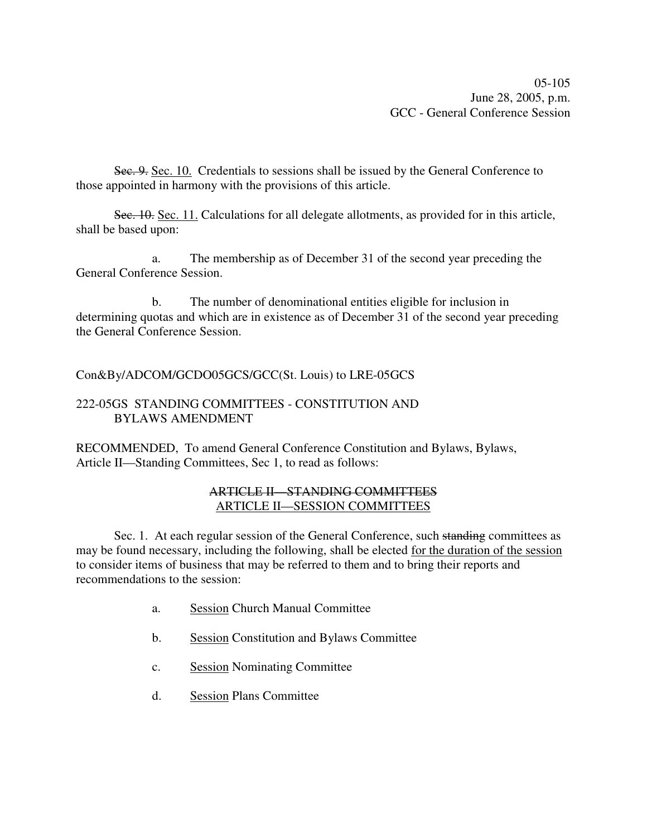05-105 June 28, 2005, p.m. GCC - General Conference Session

Sec. 9. Sec. 10. Credentials to sessions shall be issued by the General Conference to those appointed in harmony with the provisions of this article.

Sec. 10. Sec. 11. Calculations for all delegate allotments, as provided for in this article, shall be based upon:

a. The membership as of December 31 of the second year preceding the General Conference Session.

b. The number of denominational entities eligible for inclusion in determining quotas and which are in existence as of December 31 of the second year preceding the General Conference Session.

Con&By/ADCOM/GCDO05GCS/GCC(St. Louis) to LRE-05GCS

## 222-05GS STANDING COMMITTEES - CONSTITUTION AND BYLAWS AMENDMENT

RECOMMENDED, To amend General Conference Constitution and Bylaws, Bylaws, Article II—Standing Committees, Sec 1, to read as follows:

## ARTICLE II—STANDING COMMITTEES ARTICLE II—SESSION COMMITTEES

Sec. 1. At each regular session of the General Conference, such standing committees as may be found necessary, including the following, shall be elected for the duration of the session to consider items of business that may be referred to them and to bring their reports and recommendations to the session:

- a. Session Church Manual Committee
- b. Session Constitution and Bylaws Committee
- c. Session Nominating Committee
- d. Session Plans Committee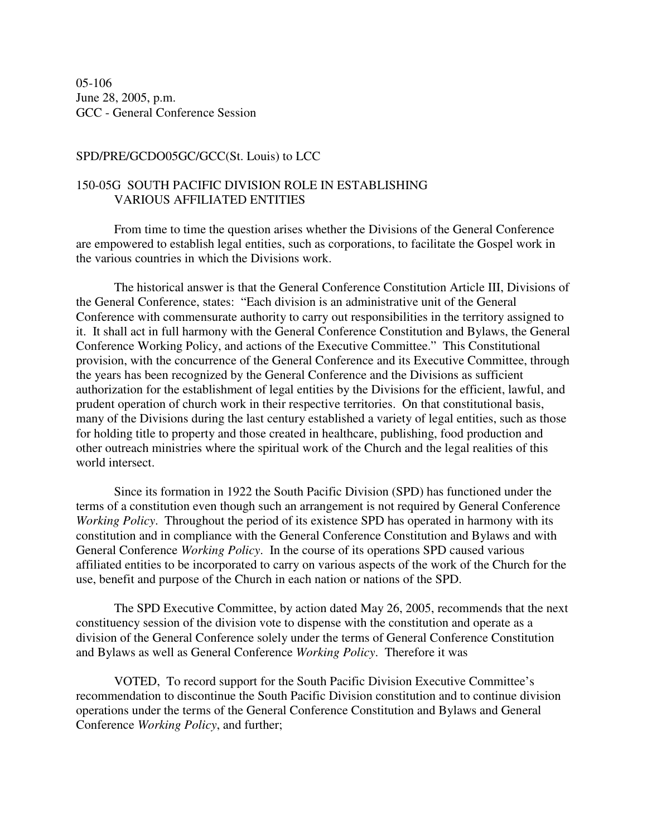05-106 June 28, 2005, p.m. GCC - General Conference Session

#### SPD/PRE/GCDO05GC/GCC(St. Louis) to LCC

## 150-05G SOUTH PACIFIC DIVISION ROLE IN ESTABLISHING VARIOUS AFFILIATED ENTITIES

From time to time the question arises whether the Divisions of the General Conference are empowered to establish legal entities, such as corporations, to facilitate the Gospel work in the various countries in which the Divisions work.

The historical answer is that the General Conference Constitution Article III, Divisions of the General Conference, states: "Each division is an administrative unit of the General Conference with commensurate authority to carry out responsibilities in the territory assigned to it. It shall act in full harmony with the General Conference Constitution and Bylaws, the General Conference Working Policy, and actions of the Executive Committee." This Constitutional provision, with the concurrence of the General Conference and its Executive Committee, through the years has been recognized by the General Conference and the Divisions as sufficient authorization for the establishment of legal entities by the Divisions for the efficient, lawful, and prudent operation of church work in their respective territories. On that constitutional basis, many of the Divisions during the last century established a variety of legal entities, such as those for holding title to property and those created in healthcare, publishing, food production and other outreach ministries where the spiritual work of the Church and the legal realities of this world intersect.

Since its formation in 1922 the South Pacific Division (SPD) has functioned under the terms of a constitution even though such an arrangement is not required by General Conference *Working Policy*. Throughout the period of its existence SPD has operated in harmony with its constitution and in compliance with the General Conference Constitution and Bylaws and with General Conference *Working Policy*. In the course of its operations SPD caused various affiliated entities to be incorporated to carry on various aspects of the work of the Church for the use, benefit and purpose of the Church in each nation or nations of the SPD.

The SPD Executive Committee, by action dated May 26, 2005, recommends that the next constituency session of the division vote to dispense with the constitution and operate as a division of the General Conference solely under the terms of General Conference Constitution and Bylaws as well as General Conference *Working Policy*. Therefore it was

VOTED, To record support for the South Pacific Division Executive Committee's recommendation to discontinue the South Pacific Division constitution and to continue division operations under the terms of the General Conference Constitution and Bylaws and General Conference *Working Policy*, and further;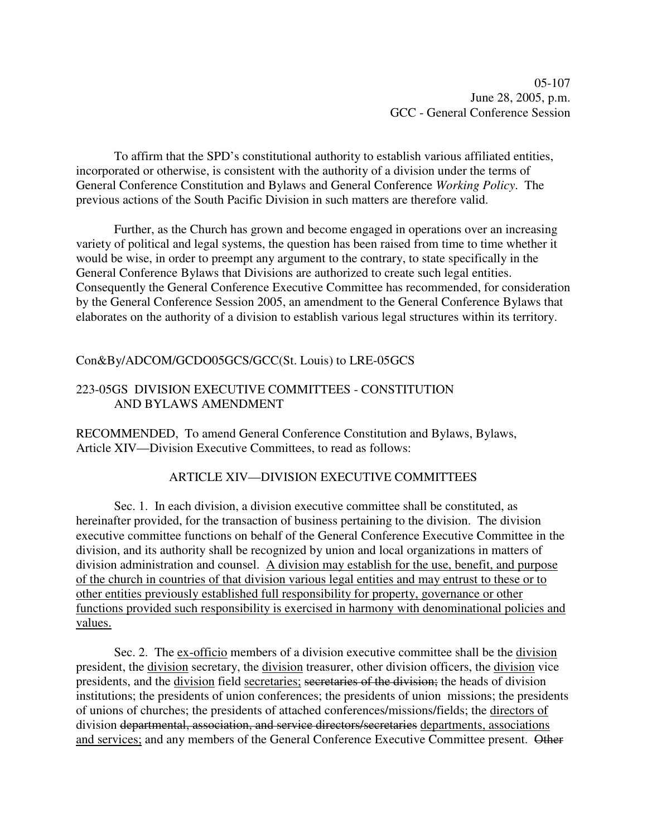To affirm that the SPD's constitutional authority to establish various affiliated entities, incorporated or otherwise, is consistent with the authority of a division under the terms of General Conference Constitution and Bylaws and General Conference *Working Policy*. The previous actions of the South Pacific Division in such matters are therefore valid.

Further, as the Church has grown and become engaged in operations over an increasing variety of political and legal systems, the question has been raised from time to time whether it would be wise, in order to preempt any argument to the contrary, to state specifically in the General Conference Bylaws that Divisions are authorized to create such legal entities. Consequently the General Conference Executive Committee has recommended, for consideration by the General Conference Session 2005, an amendment to the General Conference Bylaws that elaborates on the authority of a division to establish various legal structures within its territory.

## Con&By/ADCOM/GCDO05GCS/GCC(St. Louis) to LRE-05GCS

## 223-05GS DIVISION EXECUTIVE COMMITTEES - CONSTITUTION AND BYLAWS AMENDMENT

RECOMMENDED, To amend General Conference Constitution and Bylaws, Bylaws, Article XIV—Division Executive Committees, to read as follows:

## ARTICLE XIV—DIVISION EXECUTIVE COMMITTEES

Sec. 1. In each division, a division executive committee shall be constituted, as hereinafter provided, for the transaction of business pertaining to the division. The division executive committee functions on behalf of the General Conference Executive Committee in the division, and its authority shall be recognized by union and local organizations in matters of division administration and counsel. A division may establish for the use, benefit, and purpose of the church in countries of that division various legal entities and may entrust to these or to other entities previously established full responsibility for property, governance or other functions provided such responsibility is exercised in harmony with denominational policies and values.

Sec. 2. The ex-officio members of a division executive committee shall be the division president, the division secretary, the division treasurer, other division officers, the division vice presidents, and the division field secretaries; secretaries of the division; the heads of division institutions; the presidents of union conferences; the presidents of union missions; the presidents of unions of churches; the presidents of attached conferences/missions/fields; the directors of division departmental, association, and service directors/secretaries departments, associations and services; and any members of the General Conference Executive Committee present. Other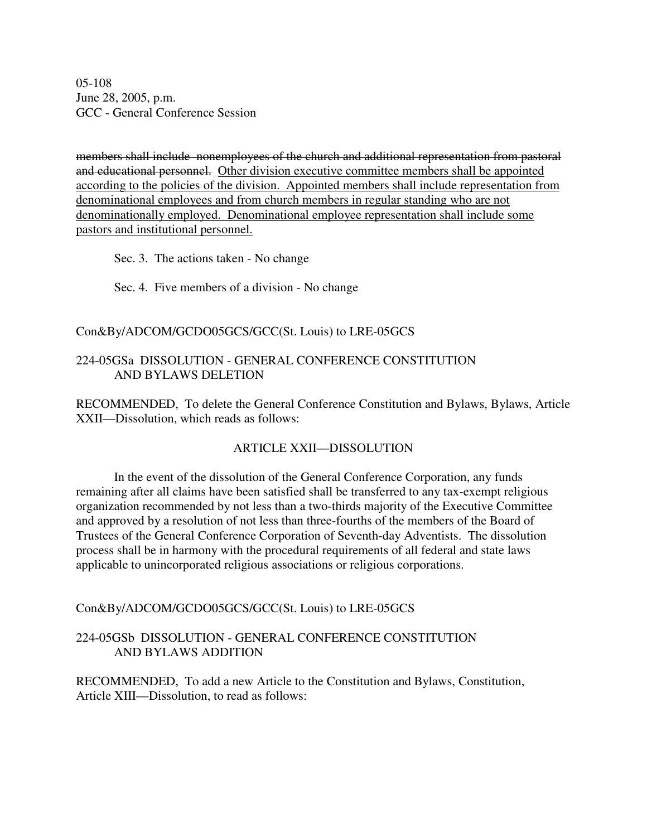05-108 June 28, 2005, p.m. GCC - General Conference Session

members shall include nonemployees of the church and additional representation from pastoral and educational personnel. Other division executive committee members shall be appointed according to the policies of the division. Appointed members shall include representation from denominational employees and from church members in regular standing who are not denominationally employed. Denominational employee representation shall include some pastors and institutional personnel.

Sec. 3. The actions taken - No change

Sec. 4. Five members of a division - No change

## Con&By/ADCOM/GCDO05GCS/GCC(St. Louis) to LRE-05GCS

## 224-05GSa DISSOLUTION - GENERAL CONFERENCE CONSTITUTION AND BYLAWS DELETION

RECOMMENDED, To delete the General Conference Constitution and Bylaws, Bylaws, Article XXII—Dissolution, which reads as follows:

## ARTICLE XXII—DISSOLUTION

In the event of the dissolution of the General Conference Corporation, any funds remaining after all claims have been satisfied shall be transferred to any tax-exempt religious organization recommended by not less than a two-thirds majority of the Executive Committee and approved by a resolution of not less than three-fourths of the members of the Board of Trustees of the General Conference Corporation of Seventh-day Adventists. The dissolution process shall be in harmony with the procedural requirements of all federal and state laws applicable to unincorporated religious associations or religious corporations.

Con&By/ADCOM/GCDO05GCS/GCC(St. Louis) to LRE-05GCS

## 224-05GSb DISSOLUTION - GENERAL CONFERENCE CONSTITUTION AND BYLAWS ADDITION

RECOMMENDED, To add a new Article to the Constitution and Bylaws, Constitution, Article XIII—Dissolution, to read as follows: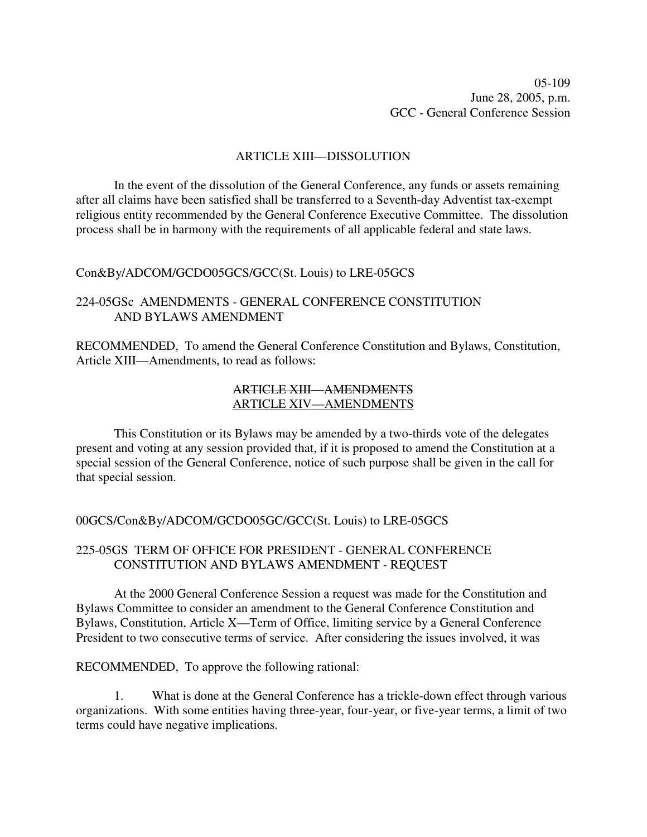05-109 June 28, 2005, p.m. GCC - General Conference Session

#### ARTICLE XIII—DISSOLUTION

In the event of the dissolution of the General Conference, any funds or assets remaining after all claims have been satisfied shall be transferred to a Seventh-day Adventist tax-exempt religious entity recommended by the General Conference Executive Committee. The dissolution process shall be in harmony with the requirements of all applicable federal and state laws.

#### Con&By/ADCOM/GCDO05GCS/GCC(St. Louis) to LRE-05GCS

## 224-05GSc AMENDMENTS - GENERAL CONFERENCE CONSTITUTION AND BYLAWS AMENDMENT

RECOMMENDED, To amend the General Conference Constitution and Bylaws, Constitution, Article XIII—Amendments, to read as follows:

## ARTICLE XIII—AMENDMENTS ARTICLE XIV—AMENDMENTS

This Constitution or its Bylaws may be amended by a two-thirds vote of the delegates present and voting at any session provided that, if it is proposed to amend the Constitution at a special session of the General Conference, notice of such purpose shall be given in the call for that special session.

00GCS/Con&By/ADCOM/GCDO05GC/GCC(St. Louis) to LRE-05GCS

## 225-05GS TERM OF OFFICE FOR PRESIDENT - GENERAL CONFERENCE CONSTITUTION AND BYLAWS AMENDMENT - REQUEST

At the 2000 General Conference Session a request was made for the Constitution and Bylaws Committee to consider an amendment to the General Conference Constitution and Bylaws, Constitution, Article X—Term of Office, limiting service by a General Conference President to two consecutive terms of service. After considering the issues involved, it was

RECOMMENDED, To approve the following rational:

1. What is done at the General Conference has a trickle-down effect through various organizations. With some entities having three-year, four-year, or five-year terms, a limit of two terms could have negative implications.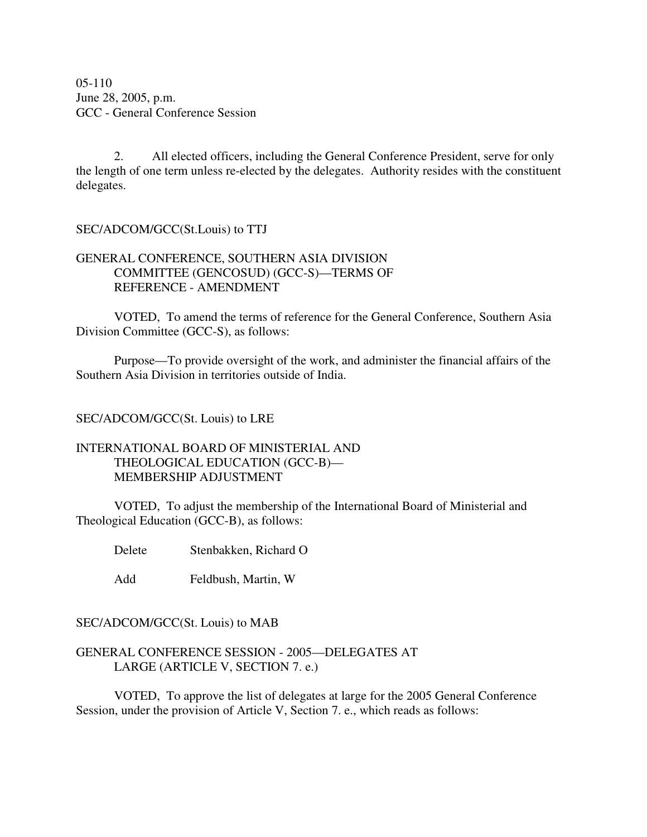05-110 June 28, 2005, p.m. GCC - General Conference Session

2. All elected officers, including the General Conference President, serve for only the length of one term unless re-elected by the delegates. Authority resides with the constituent delegates.

SEC/ADCOM/GCC(St.Louis) to TTJ

## GENERAL CONFERENCE, SOUTHERN ASIA DIVISION COMMITTEE (GENCOSUD) (GCC-S)—TERMS OF REFERENCE - AMENDMENT

VOTED, To amend the terms of reference for the General Conference, Southern Asia Division Committee (GCC-S), as follows:

Purpose—To provide oversight of the work, and administer the financial affairs of the Southern Asia Division in territories outside of India.

## SEC/ADCOM/GCC(St. Louis) to LRE

## INTERNATIONAL BOARD OF MINISTERIAL AND THEOLOGICAL EDUCATION (GCC-B)— MEMBERSHIP ADJUSTMENT

VOTED, To adjust the membership of the International Board of Ministerial and Theological Education (GCC-B), as follows:

Delete Stenbakken, Richard O

Add Feldbush, Martin, W

## SEC/ADCOM/GCC(St. Louis) to MAB

## GENERAL CONFERENCE SESSION - 2005—DELEGATES AT LARGE (ARTICLE V, SECTION 7. e.)

VOTED, To approve the list of delegates at large for the 2005 General Conference Session, under the provision of Article V, Section 7. e., which reads as follows: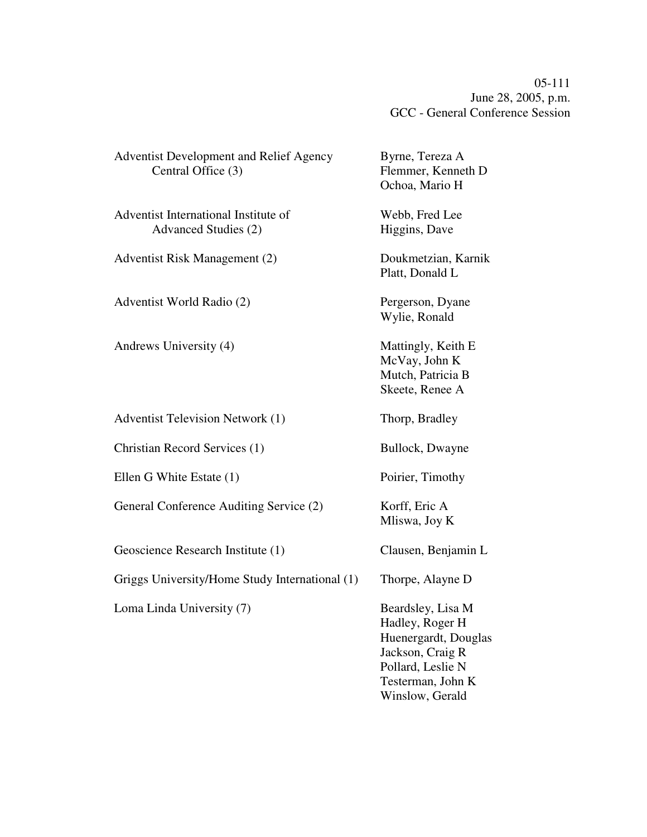05-111 June 28, 2005, p.m. GCC - General Conference Session

| <b>Adventist Development and Relief Agency</b><br>Central Office (3) | Byrne, Tereza A<br>Flemmer, Kenneth D<br>Ochoa, Mario H                                                                                       |
|----------------------------------------------------------------------|-----------------------------------------------------------------------------------------------------------------------------------------------|
| Adventist International Institute of<br>Advanced Studies (2)         | Webb, Fred Lee<br>Higgins, Dave                                                                                                               |
| Adventist Risk Management (2)                                        | Doukmetzian, Karnik<br>Platt, Donald L                                                                                                        |
| Adventist World Radio (2)                                            | Pergerson, Dyane<br>Wylie, Ronald                                                                                                             |
| Andrews University (4)                                               | Mattingly, Keith E<br>McVay, John K<br>Mutch, Patricia B<br>Skeete, Renee A                                                                   |
| <b>Adventist Television Network (1)</b>                              | Thorp, Bradley                                                                                                                                |
| Christian Record Services (1)                                        | Bullock, Dwayne                                                                                                                               |
| Ellen G White Estate (1)                                             | Poirier, Timothy                                                                                                                              |
| General Conference Auditing Service (2)                              | Korff, Eric A<br>Mliswa, Joy K                                                                                                                |
| Geoscience Research Institute (1)                                    | Clausen, Benjamin L                                                                                                                           |
| Griggs University/Home Study International (1)                       | Thorpe, Alayne D                                                                                                                              |
| Loma Linda University (7)                                            | Beardsley, Lisa M<br>Hadley, Roger H<br>Huenergardt, Douglas<br>Jackson, Craig R<br>Pollard, Leslie N<br>Testerman, John K<br>Winslow, Gerald |
|                                                                      |                                                                                                                                               |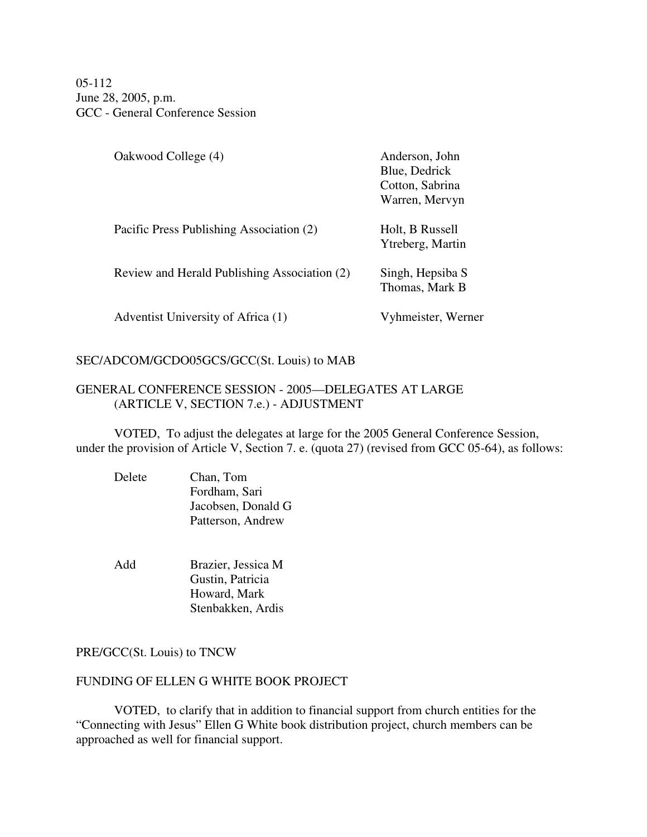05-112 June 28, 2005, p.m. GCC - General Conference Session

| Oakwood College (4)                          | Anderson, John<br>Blue, Dedrick<br>Cotton, Sabrina<br>Warren, Mervyn |
|----------------------------------------------|----------------------------------------------------------------------|
| Pacific Press Publishing Association (2)     | Holt, B Russell<br>Ytreberg, Martin                                  |
| Review and Herald Publishing Association (2) | Singh, Hepsiba S<br>Thomas, Mark B                                   |
| Adventist University of Africa (1)           | Vyhmeister, Werner                                                   |

## SEC/ADCOM/GCDO05GCS/GCC(St. Louis) to MAB

## GENERAL CONFERENCE SESSION - 2005—DELEGATES AT LARGE (ARTICLE V, SECTION 7.e.) - ADJUSTMENT

VOTED, To adjust the delegates at large for the 2005 General Conference Session, under the provision of Article V, Section 7. e. (quota 27) (revised from GCC 05-64), as follows:

- Delete Chan, Tom Fordham, Sari Jacobsen, Donald G Patterson, Andrew
- Add Brazier, Jessica M Gustin, Patricia Howard, Mark Stenbakken, Ardis

## PRE/GCC(St. Louis) to TNCW

## FUNDING OF ELLEN G WHITE BOOK PROJECT

VOTED, to clarify that in addition to financial support from church entities for the "Connecting with Jesus" Ellen G White book distribution project, church members can be approached as well for financial support.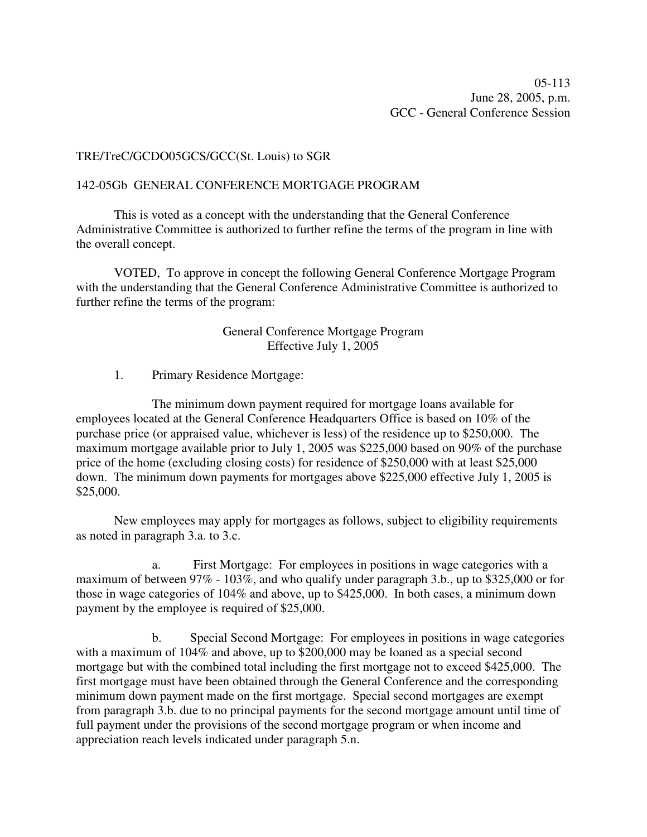### TRE/TreC/GCDO05GCS/GCC(St. Louis) to SGR

#### 142-05Gb GENERAL CONFERENCE MORTGAGE PROGRAM

This is voted as a concept with the understanding that the General Conference Administrative Committee is authorized to further refine the terms of the program in line with the overall concept.

VOTED, To approve in concept the following General Conference Mortgage Program with the understanding that the General Conference Administrative Committee is authorized to further refine the terms of the program:

## General Conference Mortgage Program Effective July 1, 2005

1. Primary Residence Mortgage:

The minimum down payment required for mortgage loans available for employees located at the General Conference Headquarters Office is based on 10% of the purchase price (or appraised value, whichever is less) of the residence up to \$250,000. The maximum mortgage available prior to July 1, 2005 was \$225,000 based on 90% of the purchase price of the home (excluding closing costs) for residence of \$250,000 with at least \$25,000 down. The minimum down payments for mortgages above \$225,000 effective July 1, 2005 is \$25,000.

New employees may apply for mortgages as follows, subject to eligibility requirements as noted in paragraph 3.a. to 3.c.

a. First Mortgage: For employees in positions in wage categories with a maximum of between 97% - 103%, and who qualify under paragraph 3.b., up to \$325,000 or for those in wage categories of 104% and above, up to \$425,000. In both cases, a minimum down payment by the employee is required of \$25,000.

b. Special Second Mortgage: For employees in positions in wage categories with a maximum of  $104\%$  and above, up to \$200,000 may be loaned as a special second mortgage but with the combined total including the first mortgage not to exceed \$425,000. The first mortgage must have been obtained through the General Conference and the corresponding minimum down payment made on the first mortgage. Special second mortgages are exempt from paragraph 3.b. due to no principal payments for the second mortgage amount until time of full payment under the provisions of the second mortgage program or when income and appreciation reach levels indicated under paragraph 5.n.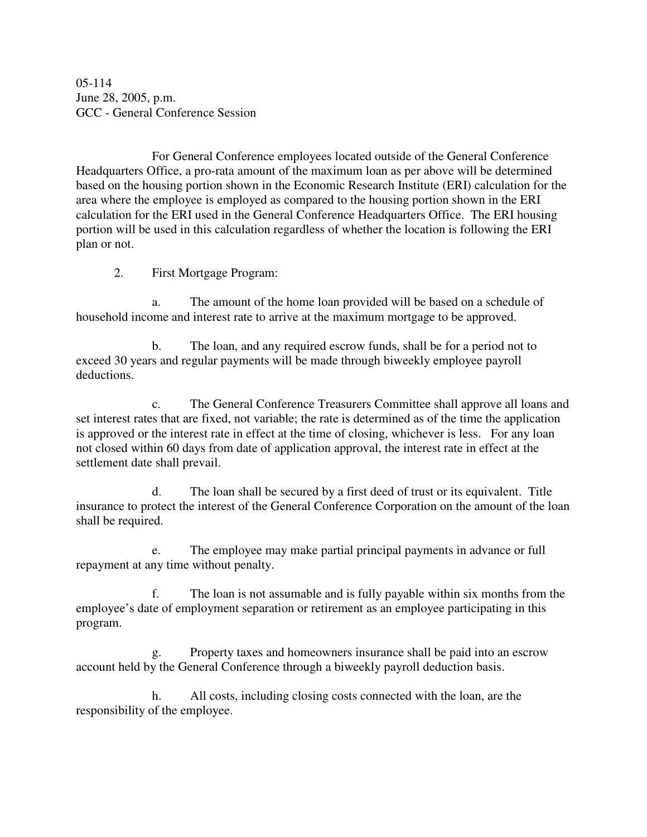05-114 June 28, 2005, p.m. GCC - General Conference Session

For General Conference employees located outside of the General Conference Headquarters Office, a pro-rata amount of the maximum loan as per above will be determined based on the housing portion shown in the Economic Research Institute (ERI) calculation for the area where the employee is employed as compared to the housing portion shown in the ERI calculation for the ERI used in the General Conference Headquarters Office. The ERI housing portion will be used in this calculation regardless of whether the location is following the ERI plan or not.

2. First Mortgage Program:

a. The amount of the home loan provided will be based on a schedule of household income and interest rate to arrive at the maximum mortgage to be approved.

b. The loan, and any required escrow funds, shall be for a period not to exceed 30 years and regular payments will be made through biweekly employee payroll deductions.

c. The General Conference Treasurers Committee shall approve all loans and set interest rates that are fixed, not variable; the rate is determined as of the time the application is approved or the interest rate in effect at the time of closing, whichever is less. For any loan not closed within 60 days from date of application approval, the interest rate in effect at the settlement date shall prevail.

d. The loan shall be secured by a first deed of trust or its equivalent. Title insurance to protect the interest of the General Conference Corporation on the amount of the loan shall be required.

e. The employee may make partial principal payments in advance or full repayment at any time without penalty.

f. The loan is not assumable and is fully payable within six months from the employee's date of employment separation or retirement as an employee participating in this program.

g. Property taxes and homeowners insurance shall be paid into an escrow account held by the General Conference through a biweekly payroll deduction basis.

h. All costs, including closing costs connected with the loan, are the responsibility of the employee.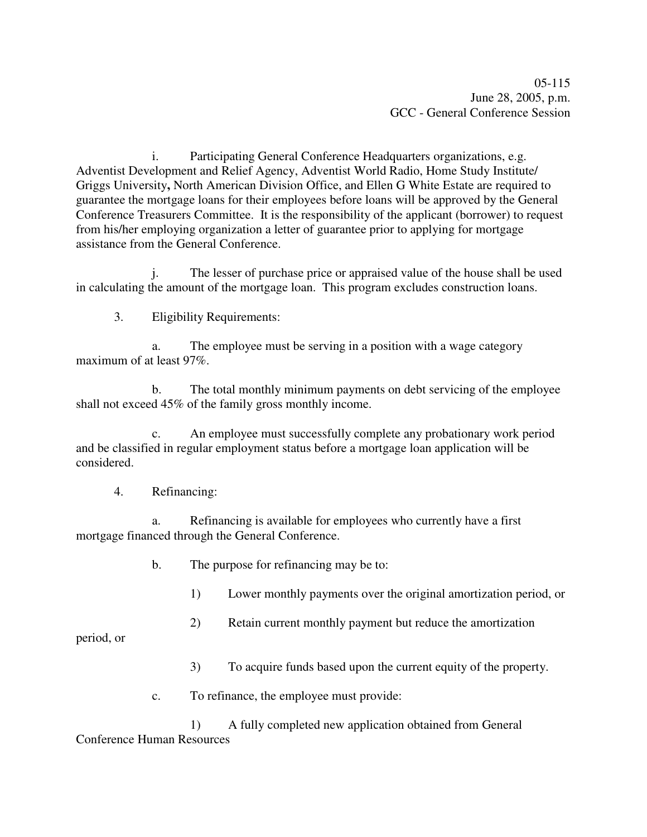i. Participating General Conference Headquarters organizations, e.g. Adventist Development and Relief Agency, Adventist World Radio, Home Study Institute/ Griggs University**,** North American Division Office, and Ellen G White Estate are required to guarantee the mortgage loans for their employees before loans will be approved by the General Conference Treasurers Committee. It is the responsibility of the applicant (borrower) to request from his/her employing organization a letter of guarantee prior to applying for mortgage assistance from the General Conference.

j. The lesser of purchase price or appraised value of the house shall be used in calculating the amount of the mortgage loan. This program excludes construction loans.

3. Eligibility Requirements:

a. The employee must be serving in a position with a wage category maximum of at least 97%.

b. The total monthly minimum payments on debt servicing of the employee shall not exceed 45% of the family gross monthly income.

c. An employee must successfully complete any probationary work period and be classified in regular employment status before a mortgage loan application will be considered.

## 4. Refinancing:

a. Refinancing is available for employees who currently have a first mortgage financed through the General Conference.

- b. The purpose for refinancing may be to:
	- 1) Lower monthly payments over the original amortization period, or
	- 2) Retain current monthly payment but reduce the amortization

period, or

- 3) To acquire funds based upon the current equity of the property.
- c. To refinance, the employee must provide:

1) A fully completed new application obtained from General Conference Human Resources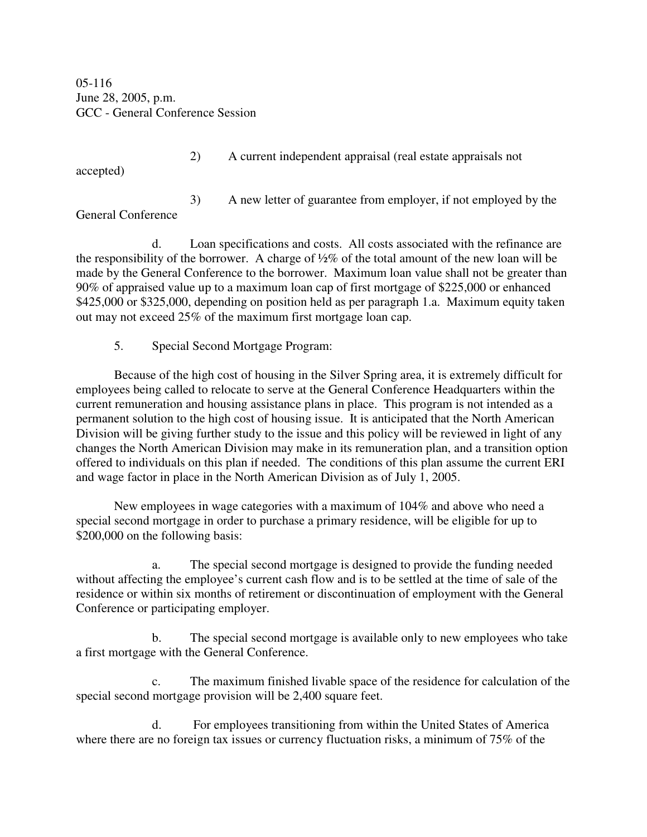05-116 June 28, 2005, p.m. GCC - General Conference Session

accepted)

2) A current independent appraisal (real estate appraisals not

3) A new letter of guarantee from employer, if not employed by the General Conference

d. Loan specifications and costs. All costs associated with the refinance are the responsibility of the borrower. A charge of ½% of the total amount of the new loan will be made by the General Conference to the borrower. Maximum loan value shall not be greater than 90% of appraised value up to a maximum loan cap of first mortgage of \$225,000 or enhanced \$425,000 or \$325,000, depending on position held as per paragraph 1.a. Maximum equity taken out may not exceed 25% of the maximum first mortgage loan cap.

5. Special Second Mortgage Program:

Because of the high cost of housing in the Silver Spring area, it is extremely difficult for employees being called to relocate to serve at the General Conference Headquarters within the current remuneration and housing assistance plans in place. This program is not intended as a permanent solution to the high cost of housing issue. It is anticipated that the North American Division will be giving further study to the issue and this policy will be reviewed in light of any changes the North American Division may make in its remuneration plan, and a transition option offered to individuals on this plan if needed. The conditions of this plan assume the current ERI and wage factor in place in the North American Division as of July 1, 2005.

New employees in wage categories with a maximum of 104% and above who need a special second mortgage in order to purchase a primary residence, will be eligible for up to \$200,000 on the following basis:

a. The special second mortgage is designed to provide the funding needed without affecting the employee's current cash flow and is to be settled at the time of sale of the residence or within six months of retirement or discontinuation of employment with the General Conference or participating employer.

b. The special second mortgage is available only to new employees who take a first mortgage with the General Conference.

c. The maximum finished livable space of the residence for calculation of the special second mortgage provision will be 2,400 square feet.

d. For employees transitioning from within the United States of America where there are no foreign tax issues or currency fluctuation risks, a minimum of 75% of the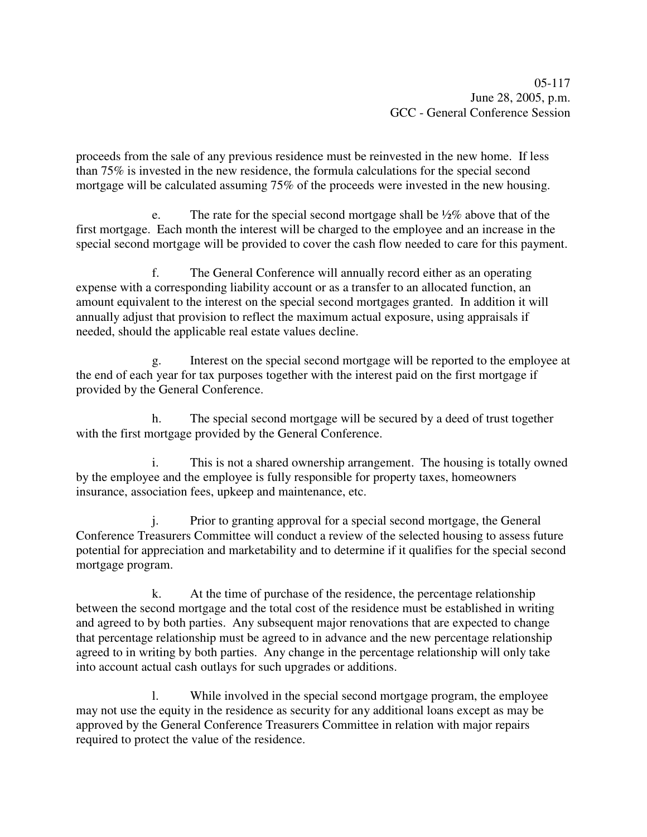proceeds from the sale of any previous residence must be reinvested in the new home. If less than 75% is invested in the new residence, the formula calculations for the special second mortgage will be calculated assuming 75% of the proceeds were invested in the new housing.

e. The rate for the special second mortgage shall be  $\frac{1}{2}\%$  above that of the first mortgage. Each month the interest will be charged to the employee and an increase in the special second mortgage will be provided to cover the cash flow needed to care for this payment.

f. The General Conference will annually record either as an operating expense with a corresponding liability account or as a transfer to an allocated function, an amount equivalent to the interest on the special second mortgages granted. In addition it will annually adjust that provision to reflect the maximum actual exposure, using appraisals if needed, should the applicable real estate values decline.

g. Interest on the special second mortgage will be reported to the employee at the end of each year for tax purposes together with the interest paid on the first mortgage if provided by the General Conference.

h. The special second mortgage will be secured by a deed of trust together with the first mortgage provided by the General Conference.

This is not a shared ownership arrangement. The housing is totally owned by the employee and the employee is fully responsible for property taxes, homeowners insurance, association fees, upkeep and maintenance, etc.

j. Prior to granting approval for a special second mortgage, the General Conference Treasurers Committee will conduct a review of the selected housing to assess future potential for appreciation and marketability and to determine if it qualifies for the special second mortgage program.

k. At the time of purchase of the residence, the percentage relationship between the second mortgage and the total cost of the residence must be established in writing and agreed to by both parties. Any subsequent major renovations that are expected to change that percentage relationship must be agreed to in advance and the new percentage relationship agreed to in writing by both parties. Any change in the percentage relationship will only take into account actual cash outlays for such upgrades or additions.

l. While involved in the special second mortgage program, the employee may not use the equity in the residence as security for any additional loans except as may be approved by the General Conference Treasurers Committee in relation with major repairs required to protect the value of the residence.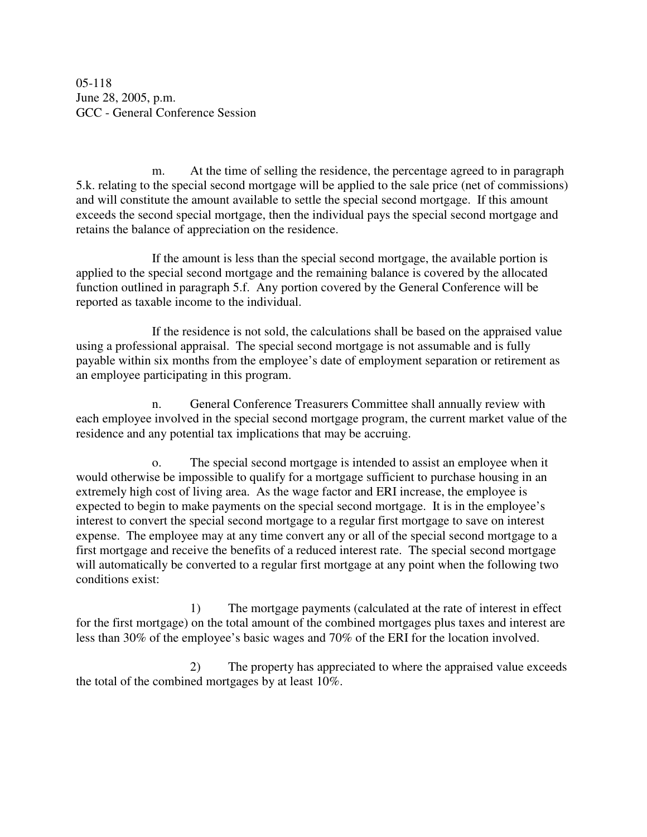05-118 June 28, 2005, p.m. GCC - General Conference Session

m. At the time of selling the residence, the percentage agreed to in paragraph 5.k. relating to the special second mortgage will be applied to the sale price (net of commissions) and will constitute the amount available to settle the special second mortgage. If this amount exceeds the second special mortgage, then the individual pays the special second mortgage and retains the balance of appreciation on the residence.

If the amount is less than the special second mortgage, the available portion is applied to the special second mortgage and the remaining balance is covered by the allocated function outlined in paragraph 5.f. Any portion covered by the General Conference will be reported as taxable income to the individual.

If the residence is not sold, the calculations shall be based on the appraised value using a professional appraisal. The special second mortgage is not assumable and is fully payable within six months from the employee's date of employment separation or retirement as an employee participating in this program.

n. General Conference Treasurers Committee shall annually review with each employee involved in the special second mortgage program, the current market value of the residence and any potential tax implications that may be accruing.

The special second mortgage is intended to assist an employee when it would otherwise be impossible to qualify for a mortgage sufficient to purchase housing in an extremely high cost of living area. As the wage factor and ERI increase, the employee is expected to begin to make payments on the special second mortgage. It is in the employee's interest to convert the special second mortgage to a regular first mortgage to save on interest expense. The employee may at any time convert any or all of the special second mortgage to a first mortgage and receive the benefits of a reduced interest rate. The special second mortgage will automatically be converted to a regular first mortgage at any point when the following two conditions exist:

1) The mortgage payments (calculated at the rate of interest in effect for the first mortgage) on the total amount of the combined mortgages plus taxes and interest are less than 30% of the employee's basic wages and 70% of the ERI for the location involved.

2) The property has appreciated to where the appraised value exceeds the total of the combined mortgages by at least 10%.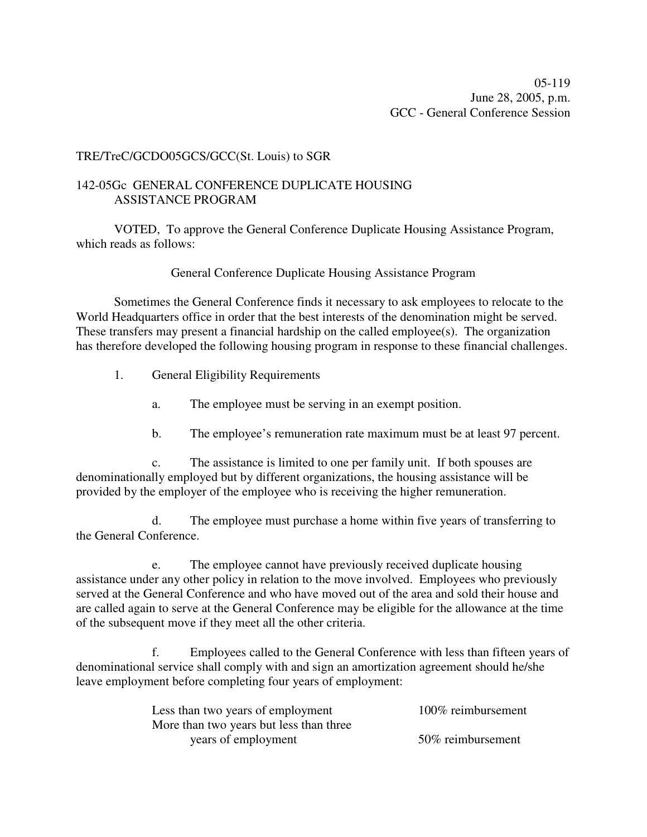## TRE/TreC/GCDO05GCS/GCC(St. Louis) to SGR

## 142-05Gc GENERAL CONFERENCE DUPLICATE HOUSING ASSISTANCE PROGRAM

VOTED, To approve the General Conference Duplicate Housing Assistance Program, which reads as follows:

## General Conference Duplicate Housing Assistance Program

Sometimes the General Conference finds it necessary to ask employees to relocate to the World Headquarters office in order that the best interests of the denomination might be served. These transfers may present a financial hardship on the called employee(s). The organization has therefore developed the following housing program in response to these financial challenges.

- 1. General Eligibility Requirements
	- a. The employee must be serving in an exempt position.
	- b. The employee's remuneration rate maximum must be at least 97 percent.

c. The assistance is limited to one per family unit. If both spouses are denominationally employed but by different organizations, the housing assistance will be provided by the employer of the employee who is receiving the higher remuneration.

d. The employee must purchase a home within five years of transferring to the General Conference.

e. The employee cannot have previously received duplicate housing assistance under any other policy in relation to the move involved. Employees who previously served at the General Conference and who have moved out of the area and sold their house and are called again to serve at the General Conference may be eligible for the allowance at the time of the subsequent move if they meet all the other criteria.

f. Employees called to the General Conference with less than fifteen years of denominational service shall comply with and sign an amortization agreement should he/she leave employment before completing four years of employment:

| Less than two years of employment       | 100% reimbursement |
|-----------------------------------------|--------------------|
| More than two years but less than three |                    |
| years of employment                     | 50% reimbursement  |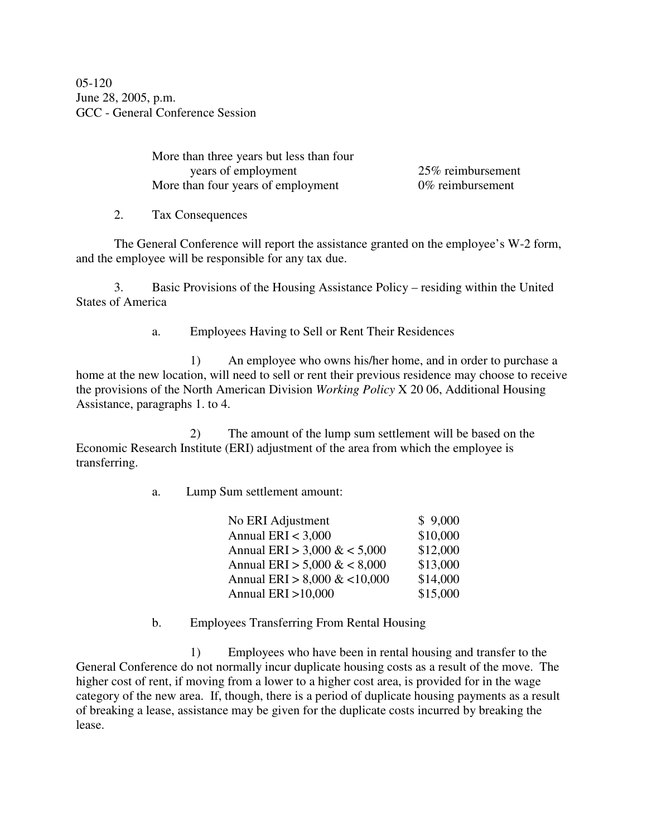05-120 June 28, 2005, p.m. GCC - General Conference Session

> More than three years but less than four years of employment 25% reimbursement More than four years of employment 0% reimbursement

2. Tax Consequences

The General Conference will report the assistance granted on the employee's W-2 form, and the employee will be responsible for any tax due.

3. Basic Provisions of the Housing Assistance Policy – residing within the United States of America

a. Employees Having to Sell or Rent Their Residences

1) An employee who owns his/her home, and in order to purchase a home at the new location, will need to sell or rent their previous residence may choose to receive the provisions of the North American Division *Working Policy* X 20 06, Additional Housing Assistance, paragraphs 1. to 4.

2) The amount of the lump sum settlement will be based on the Economic Research Institute (ERI) adjustment of the area from which the employee is transferring.

a. Lump Sum settlement amount:

| No ERI Adjustment              | \$9,000  |
|--------------------------------|----------|
| Annual ERI $<$ 3,000           | \$10,000 |
| Annual ERI > 3,000 $< 5,000$   | \$12,000 |
| Annual ERI > 5,000 $< 8,000$   | \$13,000 |
| Annual ERI > $8,000 \& 10,000$ | \$14,000 |
| Annual ERI > 10,000            | \$15,000 |

b. Employees Transferring From Rental Housing

1) Employees who have been in rental housing and transfer to the General Conference do not normally incur duplicate housing costs as a result of the move. The higher cost of rent, if moving from a lower to a higher cost area, is provided for in the wage category of the new area. If, though, there is a period of duplicate housing payments as a result of breaking a lease, assistance may be given for the duplicate costs incurred by breaking the lease.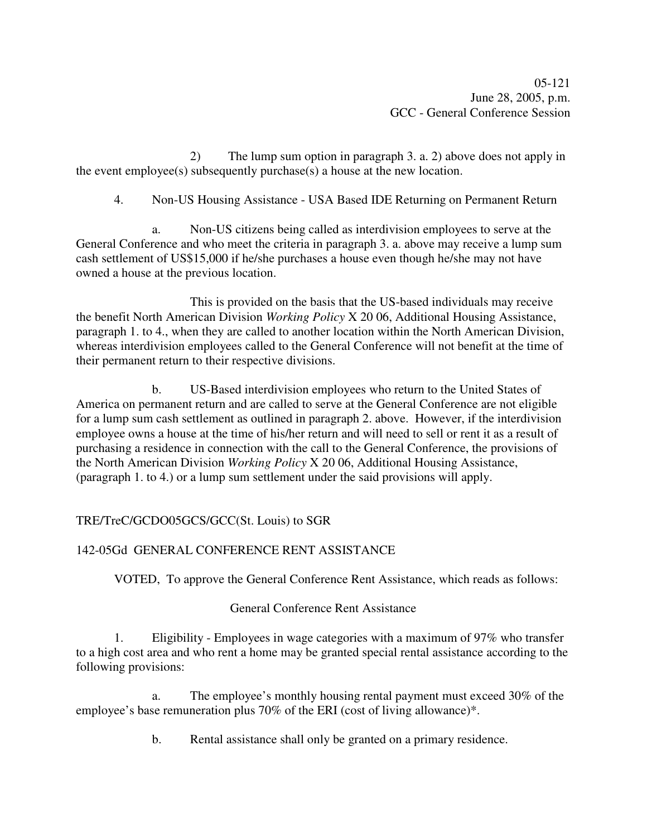2) The lump sum option in paragraph 3. a. 2) above does not apply in the event employee(s) subsequently purchase(s) a house at the new location.

4. Non-US Housing Assistance - USA Based IDE Returning on Permanent Return

a. Non-US citizens being called as interdivision employees to serve at the General Conference and who meet the criteria in paragraph 3. a. above may receive a lump sum cash settlement of US\$15,000 if he/she purchases a house even though he/she may not have owned a house at the previous location.

This is provided on the basis that the US-based individuals may receive the benefit North American Division *Working Policy* X 20 06, Additional Housing Assistance, paragraph 1. to 4., when they are called to another location within the North American Division, whereas interdivision employees called to the General Conference will not benefit at the time of their permanent return to their respective divisions.

b. US-Based interdivision employees who return to the United States of America on permanent return and are called to serve at the General Conference are not eligible for a lump sum cash settlement as outlined in paragraph 2. above. However, if the interdivision employee owns a house at the time of his/her return and will need to sell or rent it as a result of purchasing a residence in connection with the call to the General Conference, the provisions of the North American Division *Working Policy* X 20 06, Additional Housing Assistance, (paragraph 1. to 4.) or a lump sum settlement under the said provisions will apply.

## TRE/TreC/GCDO05GCS/GCC(St. Louis) to SGR

## 142-05Gd GENERAL CONFERENCE RENT ASSISTANCE

VOTED, To approve the General Conference Rent Assistance, which reads as follows:

## General Conference Rent Assistance

1. Eligibility - Employees in wage categories with a maximum of 97% who transfer to a high cost area and who rent a home may be granted special rental assistance according to the following provisions:

a. The employee's monthly housing rental payment must exceed 30% of the employee's base remuneration plus 70% of the ERI (cost of living allowance)\*.

b. Rental assistance shall only be granted on a primary residence.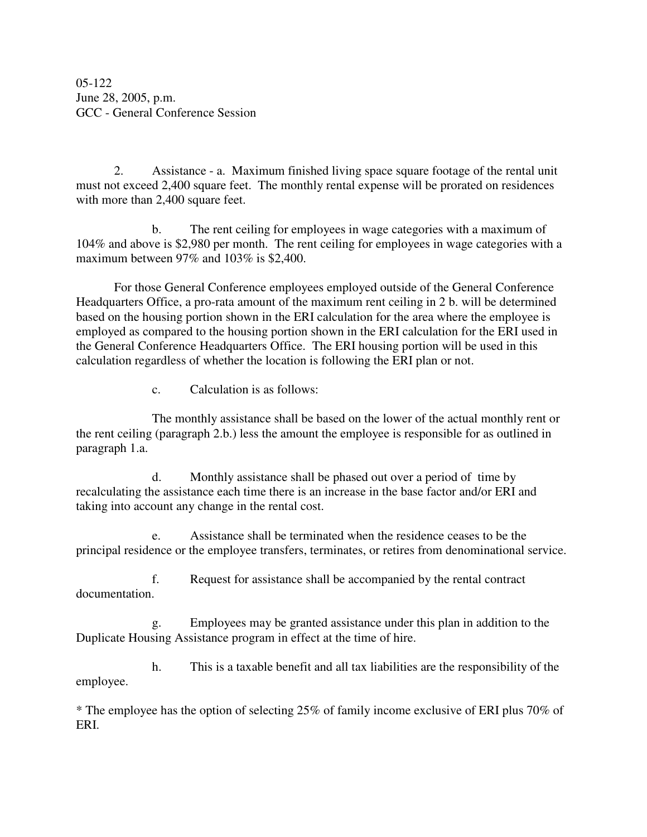05-122 June 28, 2005, p.m. GCC - General Conference Session

2. Assistance - a. Maximum finished living space square footage of the rental unit must not exceed 2,400 square feet. The monthly rental expense will be prorated on residences with more than 2,400 square feet.

b. The rent ceiling for employees in wage categories with a maximum of 104% and above is \$2,980 per month. The rent ceiling for employees in wage categories with a maximum between 97% and 103% is \$2,400.

For those General Conference employees employed outside of the General Conference Headquarters Office, a pro-rata amount of the maximum rent ceiling in 2 b. will be determined based on the housing portion shown in the ERI calculation for the area where the employee is employed as compared to the housing portion shown in the ERI calculation for the ERI used in the General Conference Headquarters Office. The ERI housing portion will be used in this calculation regardless of whether the location is following the ERI plan or not.

c. Calculation is as follows:

The monthly assistance shall be based on the lower of the actual monthly rent or the rent ceiling (paragraph 2.b.) less the amount the employee is responsible for as outlined in paragraph 1.a.

d. Monthly assistance shall be phased out over a period of time by recalculating the assistance each time there is an increase in the base factor and/or ERI and taking into account any change in the rental cost.

e. Assistance shall be terminated when the residence ceases to be the principal residence or the employee transfers, terminates, or retires from denominational service.

f. Request for assistance shall be accompanied by the rental contract documentation.

g. Employees may be granted assistance under this plan in addition to the Duplicate Housing Assistance program in effect at the time of hire.

h. This is a taxable benefit and all tax liabilities are the responsibility of the employee.

\* The employee has the option of selecting 25% of family income exclusive of ERI plus 70% of ERI.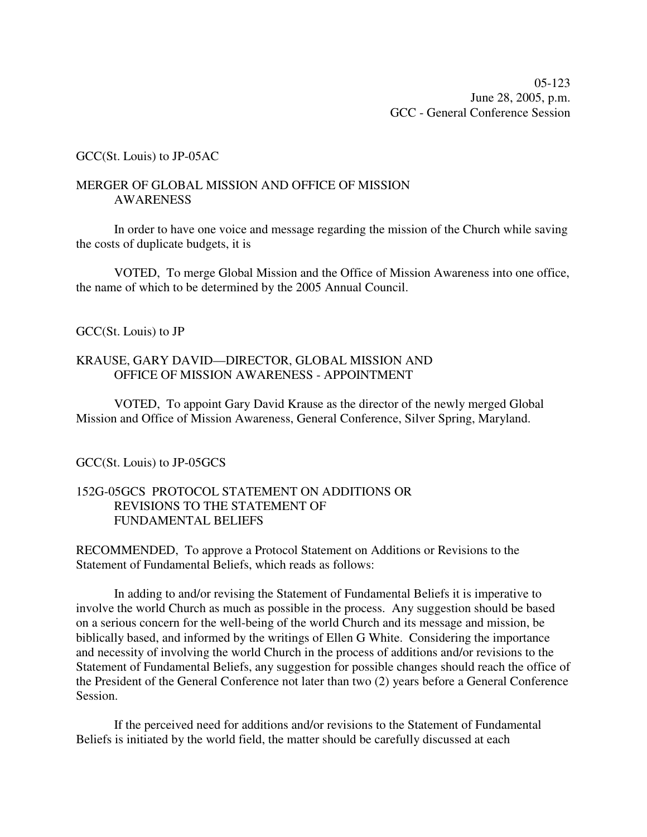### GCC(St. Louis) to JP-05AC

### MERGER OF GLOBAL MISSION AND OFFICE OF MISSION AWARENESS

In order to have one voice and message regarding the mission of the Church while saving the costs of duplicate budgets, it is

VOTED, To merge Global Mission and the Office of Mission Awareness into one office, the name of which to be determined by the 2005 Annual Council.

## GCC(St. Louis) to JP

### KRAUSE, GARY DAVID—DIRECTOR, GLOBAL MISSION AND OFFICE OF MISSION AWARENESS - APPOINTMENT

VOTED, To appoint Gary David Krause as the director of the newly merged Global Mission and Office of Mission Awareness, General Conference, Silver Spring, Maryland.

## GCC(St. Louis) to JP-05GCS

## 152G-05GCS PROTOCOL STATEMENT ON ADDITIONS OR REVISIONS TO THE STATEMENT OF FUNDAMENTAL BELIEFS

RECOMMENDED, To approve a Protocol Statement on Additions or Revisions to the Statement of Fundamental Beliefs, which reads as follows:

In adding to and/or revising the Statement of Fundamental Beliefs it is imperative to involve the world Church as much as possible in the process. Any suggestion should be based on a serious concern for the well-being of the world Church and its message and mission, be biblically based, and informed by the writings of Ellen G White. Considering the importance and necessity of involving the world Church in the process of additions and/or revisions to the Statement of Fundamental Beliefs, any suggestion for possible changes should reach the office of the President of the General Conference not later than two (2) years before a General Conference Session.

If the perceived need for additions and/or revisions to the Statement of Fundamental Beliefs is initiated by the world field, the matter should be carefully discussed at each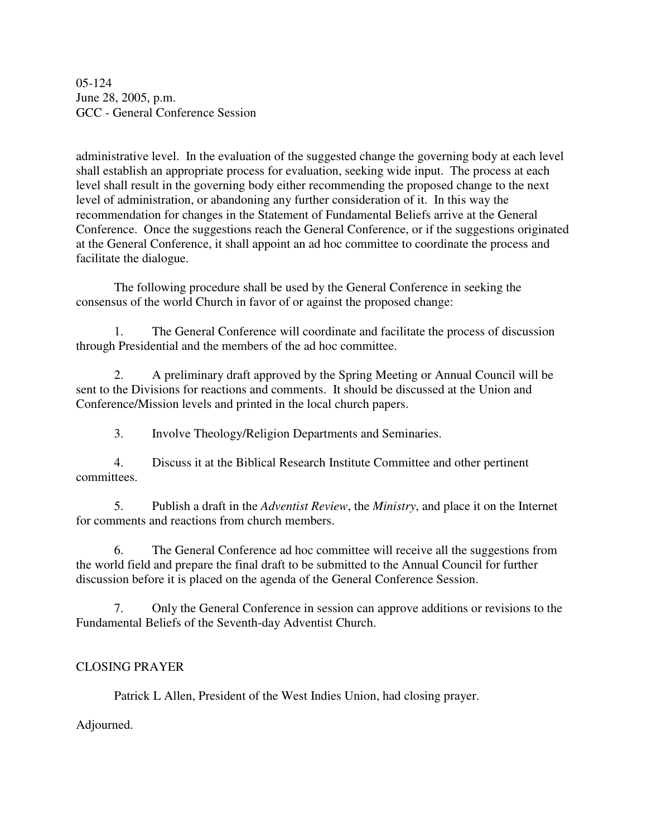05-124 June 28, 2005, p.m. GCC - General Conference Session

administrative level. In the evaluation of the suggested change the governing body at each level shall establish an appropriate process for evaluation, seeking wide input. The process at each level shall result in the governing body either recommending the proposed change to the next level of administration, or abandoning any further consideration of it. In this way the recommendation for changes in the Statement of Fundamental Beliefs arrive at the General Conference. Once the suggestions reach the General Conference, or if the suggestions originated at the General Conference, it shall appoint an ad hoc committee to coordinate the process and facilitate the dialogue.

The following procedure shall be used by the General Conference in seeking the consensus of the world Church in favor of or against the proposed change:

1. The General Conference will coordinate and facilitate the process of discussion through Presidential and the members of the ad hoc committee.

2. A preliminary draft approved by the Spring Meeting or Annual Council will be sent to the Divisions for reactions and comments. It should be discussed at the Union and Conference/Mission levels and printed in the local church papers.

3. Involve Theology/Religion Departments and Seminaries.

4. Discuss it at the Biblical Research Institute Committee and other pertinent committees.

5. Publish a draft in the *Adventist Review*, the *Ministry*, and place it on the Internet for comments and reactions from church members.

6. The General Conference ad hoc committee will receive all the suggestions from the world field and prepare the final draft to be submitted to the Annual Council for further discussion before it is placed on the agenda of the General Conference Session.

7. Only the General Conference in session can approve additions or revisions to the Fundamental Beliefs of the Seventh-day Adventist Church.

## CLOSING PRAYER

Patrick L Allen, President of the West Indies Union, had closing prayer.

Adjourned.